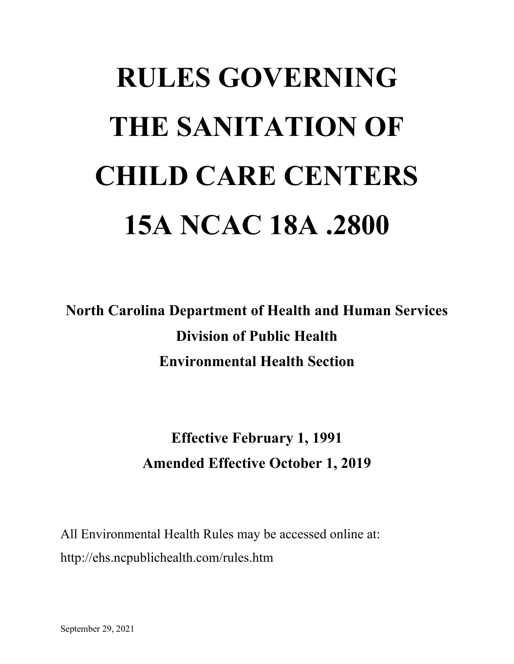# **RULES GOVERNING THE SANITATION OF CHILD CARE CENTERS 15A NCAC 18A .2800**

**North Carolina Department of Health and Human Services Division of Public Health Environmental Health Section**

> **Effective February 1, 1991 Amended Effective October 1, 2019**

All Environmental Health Rules may be accessed online at: http://ehs.ncpublichealth.com/rules.htm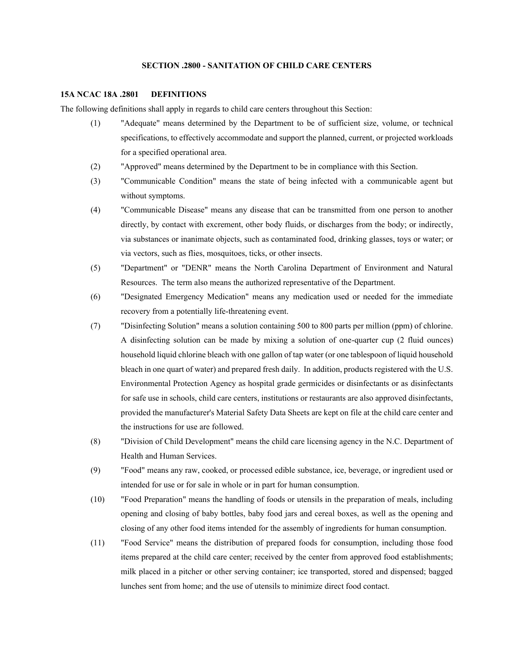# **SECTION .2800 - SANITATION OF CHILD CARE CENTERS**

#### **15A NCAC 18A .2801 DEFINITIONS**

The following definitions shall apply in regards to child care centers throughout this Section:

- (1) "Adequate" means determined by the Department to be of sufficient size, volume, or technical specifications, to effectively accommodate and support the planned, current, or projected workloads for a specified operational area.
- (2) "Approved" means determined by the Department to be in compliance with this Section.
- (3) "Communicable Condition" means the state of being infected with a communicable agent but without symptoms.
- (4) "Communicable Disease" means any disease that can be transmitted from one person to another directly, by contact with excrement, other body fluids, or discharges from the body; or indirectly, via substances or inanimate objects, such as contaminated food, drinking glasses, toys or water; or via vectors, such as flies, mosquitoes, ticks, or other insects.
- (5) "Department" or "DENR" means the North Carolina Department of Environment and Natural Resources. The term also means the authorized representative of the Department.
- (6) "Designated Emergency Medication" means any medication used or needed for the immediate recovery from a potentially life-threatening event.
- (7) "Disinfecting Solution" means a solution containing 500 to 800 parts per million (ppm) of chlorine. A disinfecting solution can be made by mixing a solution of one-quarter cup (2 fluid ounces) household liquid chlorine bleach with one gallon of tap water (or one tablespoon of liquid household bleach in one quart of water) and prepared fresh daily. In addition, products registered with the U.S. Environmental Protection Agency as hospital grade germicides or disinfectants or as disinfectants for safe use in schools, child care centers, institutions or restaurants are also approved disinfectants, provided the manufacturer's Material Safety Data Sheets are kept on file at the child care center and the instructions for use are followed.
- (8) "Division of Child Development" means the child care licensing agency in the N.C. Department of Health and Human Services.
- (9) "Food" means any raw, cooked, or processed edible substance, ice, beverage, or ingredient used or intended for use or for sale in whole or in part for human consumption.
- (10) "Food Preparation" means the handling of foods or utensils in the preparation of meals, including opening and closing of baby bottles, baby food jars and cereal boxes, as well as the opening and closing of any other food items intended for the assembly of ingredients for human consumption.
- (11) "Food Service" means the distribution of prepared foods for consumption, including those food items prepared at the child care center; received by the center from approved food establishments; milk placed in a pitcher or other serving container; ice transported, stored and dispensed; bagged lunches sent from home; and the use of utensils to minimize direct food contact.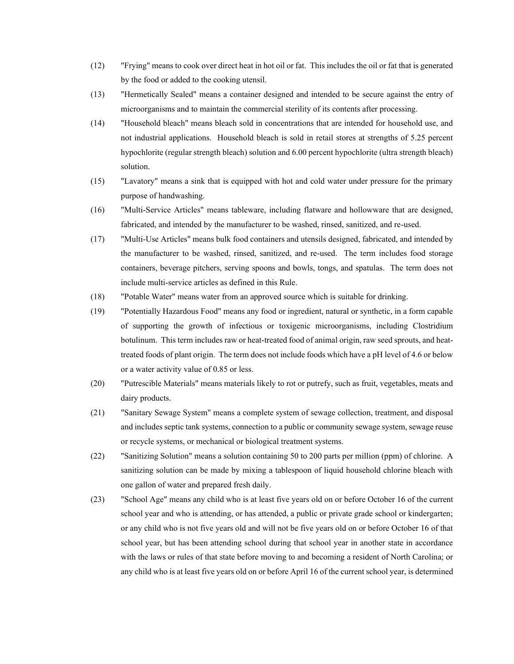- (12) "Frying" means to cook over direct heat in hot oil or fat. This includes the oil or fat that is generated by the food or added to the cooking utensil.
- (13) "Hermetically Sealed" means a container designed and intended to be secure against the entry of microorganisms and to maintain the commercial sterility of its contents after processing.
- (14) "Household bleach" means bleach sold in concentrations that are intended for household use, and not industrial applications. Household bleach is sold in retail stores at strengths of 5.25 percent hypochlorite (regular strength bleach) solution and 6.00 percent hypochlorite (ultra strength bleach) solution.
- (15) "Lavatory" means a sink that is equipped with hot and cold water under pressure for the primary purpose of handwashing.
- (16) "Multi-Service Articles" means tableware, including flatware and hollowware that are designed, fabricated, and intended by the manufacturer to be washed, rinsed, sanitized, and re-used.
- (17) "Multi-Use Articles" means bulk food containers and utensils designed, fabricated, and intended by the manufacturer to be washed, rinsed, sanitized, and re-used. The term includes food storage containers, beverage pitchers, serving spoons and bowls, tongs, and spatulas. The term does not include multi-service articles as defined in this Rule.
- (18) "Potable Water" means water from an approved source which is suitable for drinking.
- (19) "Potentially Hazardous Food" means any food or ingredient, natural or synthetic, in a form capable of supporting the growth of infectious or toxigenic microorganisms, including Clostridium botulinum. This term includes raw or heat-treated food of animal origin, raw seed sprouts, and heattreated foods of plant origin. The term does not include foods which have a pH level of 4.6 or below or a water activity value of 0.85 or less.
- (20) "Putrescible Materials" means materials likely to rot or putrefy, such as fruit, vegetables, meats and dairy products.
- (21) "Sanitary Sewage System" means a complete system of sewage collection, treatment, and disposal and includes septic tank systems, connection to a public or community sewage system, sewage reuse or recycle systems, or mechanical or biological treatment systems.
- (22) "Sanitizing Solution" means a solution containing 50 to 200 parts per million (ppm) of chlorine. A sanitizing solution can be made by mixing a tablespoon of liquid household chlorine bleach with one gallon of water and prepared fresh daily.
- (23) "School Age" means any child who is at least five years old on or before October 16 of the current school year and who is attending, or has attended, a public or private grade school or kindergarten; or any child who is not five years old and will not be five years old on or before October 16 of that school year, but has been attending school during that school year in another state in accordance with the laws or rules of that state before moving to and becoming a resident of North Carolina; or any child who is at least five years old on or before April 16 of the current school year, is determined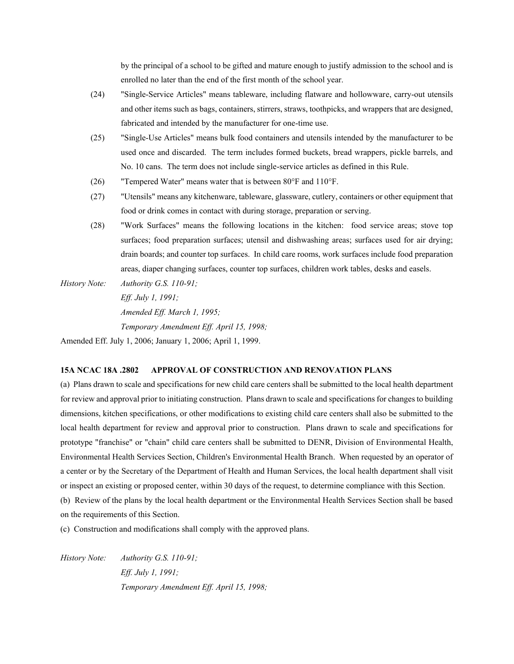by the principal of a school to be gifted and mature enough to justify admission to the school and is enrolled no later than the end of the first month of the school year.

- (24) "Single-Service Articles" means tableware, including flatware and hollowware, carry-out utensils and other items such as bags, containers, stirrers, straws, toothpicks, and wrappers that are designed, fabricated and intended by the manufacturer for one-time use.
- (25) "Single-Use Articles" means bulk food containers and utensils intended by the manufacturer to be used once and discarded. The term includes formed buckets, bread wrappers, pickle barrels, and No. 10 cans. The term does not include single-service articles as defined in this Rule.
- (26) "Tempered Water" means water that is between  $80^{\circ}$ F and  $110^{\circ}$ F.
- (27) "Utensils" means any kitchenware, tableware, glassware, cutlery, containers or other equipment that food or drink comes in contact with during storage, preparation or serving.
- (28) "Work Surfaces" means the following locations in the kitchen: food service areas; stove top surfaces; food preparation surfaces; utensil and dishwashing areas; surfaces used for air drying; drain boards; and counter top surfaces. In child care rooms, work surfaces include food preparation areas, diaper changing surfaces, counter top surfaces, children work tables, desks and easels.
- *History Note: Authority G.S. 110-91; Eff. July 1, 1991; Amended Eff. March 1, 1995; Temporary Amendment Eff. April 15, 1998;*

Amended Eff. July 1, 2006; January 1, 2006; April 1, 1999.

#### **15A NCAC 18A .2802 APPROVAL OF CONSTRUCTION AND RENOVATION PLANS**

(a) Plans drawn to scale and specifications for new child care centers shall be submitted to the local health department for review and approval prior to initiating construction. Plans drawn to scale and specifications for changes to building dimensions, kitchen specifications, or other modifications to existing child care centers shall also be submitted to the local health department for review and approval prior to construction. Plans drawn to scale and specifications for prototype "franchise" or "chain" child care centers shall be submitted to DENR, Division of Environmental Health, Environmental Health Services Section, Children's Environmental Health Branch. When requested by an operator of a center or by the Secretary of the Department of Health and Human Services, the local health department shall visit or inspect an existing or proposed center, within 30 days of the request, to determine compliance with this Section.

(b) Review of the plans by the local health department or the Environmental Health Services Section shall be based on the requirements of this Section.

(c) Construction and modifications shall comply with the approved plans.

*History Note: Authority G.S. 110-91; Eff. July 1, 1991; Temporary Amendment Eff. April 15, 1998;*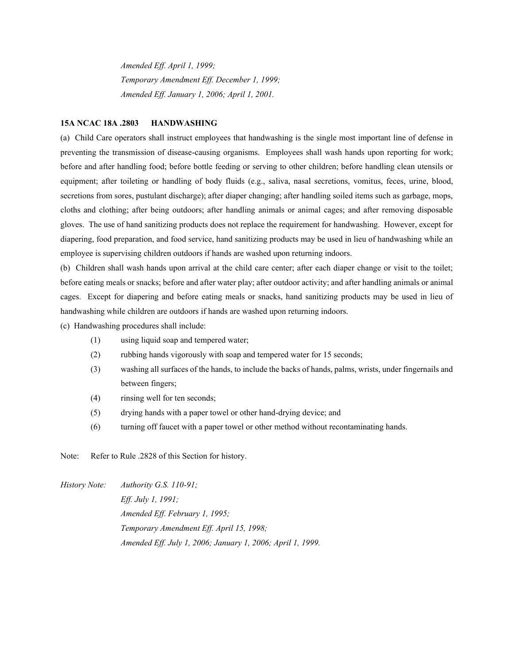*Amended Eff. April 1, 1999; Temporary Amendment Eff. December 1, 1999; Amended Eff. January 1, 2006; April 1, 2001.*

#### **15A NCAC 18A .2803 HANDWASHING**

(a) Child Care operators shall instruct employees that handwashing is the single most important line of defense in preventing the transmission of disease-causing organisms. Employees shall wash hands upon reporting for work; before and after handling food; before bottle feeding or serving to other children; before handling clean utensils or equipment; after toileting or handling of body fluids (e.g., saliva, nasal secretions, vomitus, feces, urine, blood, secretions from sores, pustulant discharge); after diaper changing; after handling soiled items such as garbage, mops, cloths and clothing; after being outdoors; after handling animals or animal cages; and after removing disposable gloves. The use of hand sanitizing products does not replace the requirement for handwashing. However, except for diapering, food preparation, and food service, hand sanitizing products may be used in lieu of handwashing while an employee is supervising children outdoors if hands are washed upon returning indoors.

(b) Children shall wash hands upon arrival at the child care center; after each diaper change or visit to the toilet; before eating meals or snacks; before and after water play; after outdoor activity; and after handling animals or animal cages. Except for diapering and before eating meals or snacks, hand sanitizing products may be used in lieu of handwashing while children are outdoors if hands are washed upon returning indoors.

(c) Handwashing procedures shall include:

- (1) using liquid soap and tempered water;
- (2) rubbing hands vigorously with soap and tempered water for 15 seconds;
- (3) washing all surfaces of the hands, to include the backs of hands, palms, wrists, under fingernails and between fingers;
- (4) rinsing well for ten seconds;
- (5) drying hands with a paper towel or other hand-drying device; and
- (6) turning off faucet with a paper towel or other method without recontaminating hands.

Note: Refer to Rule .2828 of this Section for history.

*History Note: Authority G.S. 110-91; Eff. July 1, 1991; Amended Eff. February 1, 1995; Temporary Amendment Eff. April 15, 1998; Amended Eff. July 1, 2006; January 1, 2006; April 1, 1999.*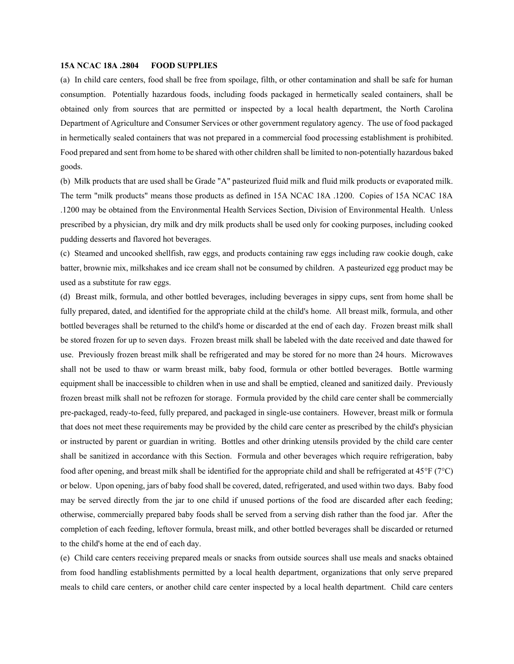#### **15A NCAC 18A .2804 FOOD SUPPLIES**

(a) In child care centers, food shall be free from spoilage, filth, or other contamination and shall be safe for human consumption. Potentially hazardous foods, including foods packaged in hermetically sealed containers, shall be obtained only from sources that are permitted or inspected by a local health department, the North Carolina Department of Agriculture and Consumer Services or other government regulatory agency. The use of food packaged in hermetically sealed containers that was not prepared in a commercial food processing establishment is prohibited. Food prepared and sent from home to be shared with other children shall be limited to non-potentially hazardous baked goods.

(b) Milk products that are used shall be Grade "A" pasteurized fluid milk and fluid milk products or evaporated milk. The term "milk products" means those products as defined in 15A NCAC 18A .1200. Copies of 15A NCAC 18A .1200 may be obtained from the Environmental Health Services Section, Division of Environmental Health. Unless prescribed by a physician, dry milk and dry milk products shall be used only for cooking purposes, including cooked pudding desserts and flavored hot beverages.

(c) Steamed and uncooked shellfish, raw eggs, and products containing raw eggs including raw cookie dough, cake batter, brownie mix, milkshakes and ice cream shall not be consumed by children. A pasteurized egg product may be used as a substitute for raw eggs.

(d) Breast milk, formula, and other bottled beverages, including beverages in sippy cups, sent from home shall be fully prepared, dated, and identified for the appropriate child at the child's home. All breast milk, formula, and other bottled beverages shall be returned to the child's home or discarded at the end of each day. Frozen breast milk shall be stored frozen for up to seven days. Frozen breast milk shall be labeled with the date received and date thawed for use. Previously frozen breast milk shall be refrigerated and may be stored for no more than 24 hours. Microwaves shall not be used to thaw or warm breast milk, baby food, formula or other bottled beverages. Bottle warming equipment shall be inaccessible to children when in use and shall be emptied, cleaned and sanitized daily. Previously frozen breast milk shall not be refrozen for storage. Formula provided by the child care center shall be commercially pre-packaged, ready-to-feed, fully prepared, and packaged in single-use containers. However, breast milk or formula that does not meet these requirements may be provided by the child care center as prescribed by the child's physician or instructed by parent or guardian in writing. Bottles and other drinking utensils provided by the child care center shall be sanitized in accordance with this Section. Formula and other beverages which require refrigeration, baby food after opening, and breast milk shall be identified for the appropriate child and shall be refrigerated at  $45^{\circ}$ F (7 $^{\circ}$ C) or below. Upon opening, jars of baby food shall be covered, dated, refrigerated, and used within two days. Baby food may be served directly from the jar to one child if unused portions of the food are discarded after each feeding; otherwise, commercially prepared baby foods shall be served from a serving dish rather than the food jar. After the completion of each feeding, leftover formula, breast milk, and other bottled beverages shall be discarded or returned to the child's home at the end of each day.

(e) Child care centers receiving prepared meals or snacks from outside sources shall use meals and snacks obtained from food handling establishments permitted by a local health department, organizations that only serve prepared meals to child care centers, or another child care center inspected by a local health department. Child care centers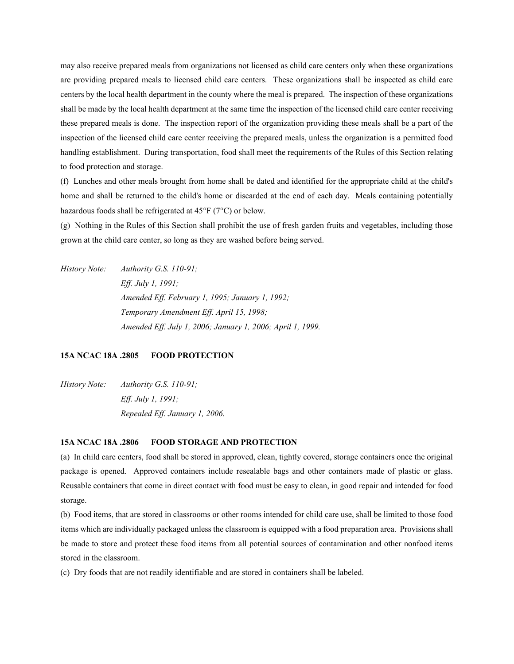may also receive prepared meals from organizations not licensed as child care centers only when these organizations are providing prepared meals to licensed child care centers. These organizations shall be inspected as child care centers by the local health department in the county where the meal is prepared. The inspection of these organizations shall be made by the local health department at the same time the inspection of the licensed child care center receiving these prepared meals is done. The inspection report of the organization providing these meals shall be a part of the inspection of the licensed child care center receiving the prepared meals, unless the organization is a permitted food handling establishment. During transportation, food shall meet the requirements of the Rules of this Section relating to food protection and storage.

(f) Lunches and other meals brought from home shall be dated and identified for the appropriate child at the child's home and shall be returned to the child's home or discarded at the end of each day. Meals containing potentially hazardous foods shall be refrigerated at  $45^{\circ}F$  (7 $^{\circ}C$ ) or below.

(g) Nothing in the Rules of this Section shall prohibit the use of fresh garden fruits and vegetables, including those grown at the child care center, so long as they are washed before being served.

*History Note: Authority G.S. 110-91; Eff. July 1, 1991; Amended Eff. February 1, 1995; January 1, 1992; Temporary Amendment Eff. April 15, 1998; Amended Eff. July 1, 2006; January 1, 2006; April 1, 1999.*

# **15A NCAC 18A .2805 FOOD PROTECTION**

*History Note: Authority G.S. 110-91; Eff. July 1, 1991; Repealed Eff. January 1, 2006.*

# **15A NCAC 18A .2806 FOOD STORAGE AND PROTECTION**

(a) In child care centers, food shall be stored in approved, clean, tightly covered, storage containers once the original package is opened. Approved containers include resealable bags and other containers made of plastic or glass. Reusable containers that come in direct contact with food must be easy to clean, in good repair and intended for food storage.

(b) Food items, that are stored in classrooms or other rooms intended for child care use, shall be limited to those food items which are individually packaged unless the classroom is equipped with a food preparation area. Provisions shall be made to store and protect these food items from all potential sources of contamination and other nonfood items stored in the classroom.

(c) Dry foods that are not readily identifiable and are stored in containers shall be labeled.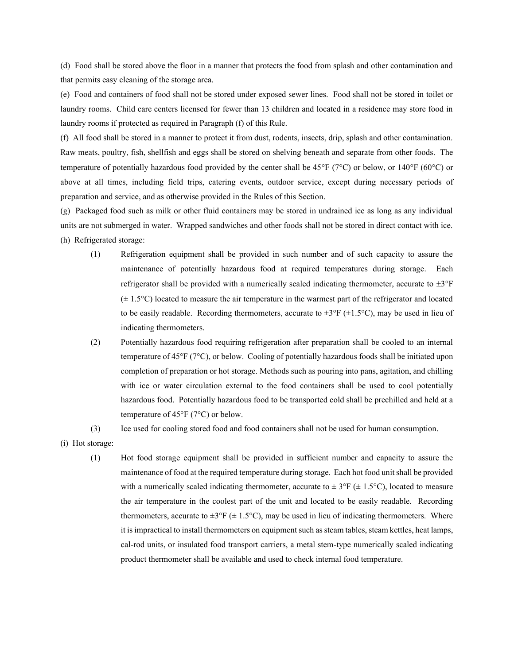(d) Food shall be stored above the floor in a manner that protects the food from splash and other contamination and that permits easy cleaning of the storage area.

(e) Food and containers of food shall not be stored under exposed sewer lines. Food shall not be stored in toilet or laundry rooms. Child care centers licensed for fewer than 13 children and located in a residence may store food in laundry rooms if protected as required in Paragraph (f) of this Rule.

(f) All food shall be stored in a manner to protect it from dust, rodents, insects, drip, splash and other contamination. Raw meats, poultry, fish, shellfish and eggs shall be stored on shelving beneath and separate from other foods. The temperature of potentially hazardous food provided by the center shall be  $45^{\circ}F$  (7°C) or below, or 140°F (60°C) or above at all times, including field trips, catering events, outdoor service, except during necessary periods of preparation and service, and as otherwise provided in the Rules of this Section.

(g) Packaged food such as milk or other fluid containers may be stored in undrained ice as long as any individual units are not submerged in water. Wrapped sandwiches and other foods shall not be stored in direct contact with ice. (h) Refrigerated storage:

- (1) Refrigeration equipment shall be provided in such number and of such capacity to assure the maintenance of potentially hazardous food at required temperatures during storage. Each refrigerator shall be provided with a numerically scaled indicating thermometer, accurate to  $\pm 3^{\circ}F$  $(\pm 1.5^{\circ}C)$  located to measure the air temperature in the warmest part of the refrigerator and located to be easily readable. Recording thermometers, accurate to  $\pm 3^{\circ}F (\pm 1.5^{\circ}C)$ , may be used in lieu of indicating thermometers.
- (2) Potentially hazardous food requiring refrigeration after preparation shall be cooled to an internal temperature of 45°F (7°C), or below. Cooling of potentially hazardous foods shall be initiated upon completion of preparation or hot storage. Methods such as pouring into pans, agitation, and chilling with ice or water circulation external to the food containers shall be used to cool potentially hazardous food. Potentially hazardous food to be transported cold shall be prechilled and held at a temperature of 45°F (7°C) or below.

(3) Ice used for cooling stored food and food containers shall not be used for human consumption.

- (i) Hot storage:
	- (1) Hot food storage equipment shall be provided in sufficient number and capacity to assure the maintenance of food at the required temperature during storage. Each hot food unit shall be provided with a numerically scaled indicating thermometer, accurate to  $\pm 3^{\circ}F (\pm 1.5^{\circ}C)$ , located to measure the air temperature in the coolest part of the unit and located to be easily readable. Recording thermometers, accurate to  $\pm 3^{\circ}F (\pm 1.5^{\circ}C)$ , may be used in lieu of indicating thermometers. Where it is impractical to install thermometers on equipment such as steam tables, steam kettles, heat lamps, cal-rod units, or insulated food transport carriers, a metal stem-type numerically scaled indicating product thermometer shall be available and used to check internal food temperature.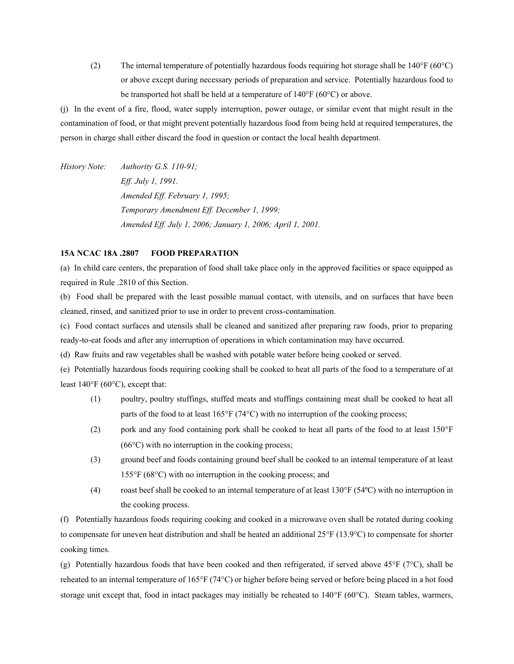(2) The internal temperature of potentially hazardous foods requiring hot storage shall be  $140^{\circ}F (60^{\circ}C)$ or above except during necessary periods of preparation and service. Potentially hazardous food to be transported hot shall be held at a temperature of 140°F (60°C) or above.

(j) In the event of a fire, flood, water supply interruption, power outage, or similar event that might result in the contamination of food, or that might prevent potentially hazardous food from being held at required temperatures, the person in charge shall either discard the food in question or contact the local health department.

*History Note: Authority G.S. 110-91; Eff. July 1, 1991. Amended Eff. February 1, 1995; Temporary Amendment Eff. December 1, 1999; Amended Eff. July 1, 2006; January 1, 2006; April 1, 2001.*

# **15A NCAC 18A .2807 FOOD PREPARATION**

(a) In child care centers, the preparation of food shall take place only in the approved facilities or space equipped as required in Rule .2810 of this Section.

(b) Food shall be prepared with the least possible manual contact, with utensils, and on surfaces that have been cleaned, rinsed, and sanitized prior to use in order to prevent cross-contamination.

(c) Food contact surfaces and utensils shall be cleaned and sanitized after preparing raw foods, prior to preparing ready-to-eat foods and after any interruption of operations in which contamination may have occurred.

(d) Raw fruits and raw vegetables shall be washed with potable water before being cooked or served.

(e) Potentially hazardous foods requiring cooking shall be cooked to heat all parts of the food to a temperature of at least  $140^{\circ}F(60^{\circ}C)$ , except that:

- (1) poultry, poultry stuffings, stuffed meats and stuffings containing meat shall be cooked to heat all parts of the food to at least  $165^{\circ}F(74^{\circ}C)$  with no interruption of the cooking process;
- (2) pork and any food containing pork shall be cooked to heat all parts of the food to at least  $150^{\circ}$ F  $(66^{\circ}$ C) with no interruption in the cooking process;
- (3) ground beef and foods containing ground beef shall be cooked to an internal temperature of at least  $155^{\circ}F (68^{\circ}C)$  with no interruption in the cooking process; and
- (4) roast beef shall be cooked to an internal temperature of at least  $130^{\circ}F(54^{\circ}C)$  with no interruption in the cooking process.

(f) Potentially hazardous foods requiring cooking and cooked in a microwave oven shall be rotated during cooking to compensate for uneven heat distribution and shall be heated an additional  $25^{\circ}F(13.9^{\circ}C)$  to compensate for shorter cooking times.

(g) Potentially hazardous foods that have been cooked and then refrigerated, if served above  $45^{\circ}F$  (7 $^{\circ}C$ ), shall be reheated to an internal temperature of 165°F (74°C) or higher before being served or before being placed in a hot food storage unit except that, food in intact packages may initially be reheated to  $140^{\circ}F (60^{\circ}C)$ . Steam tables, warmers,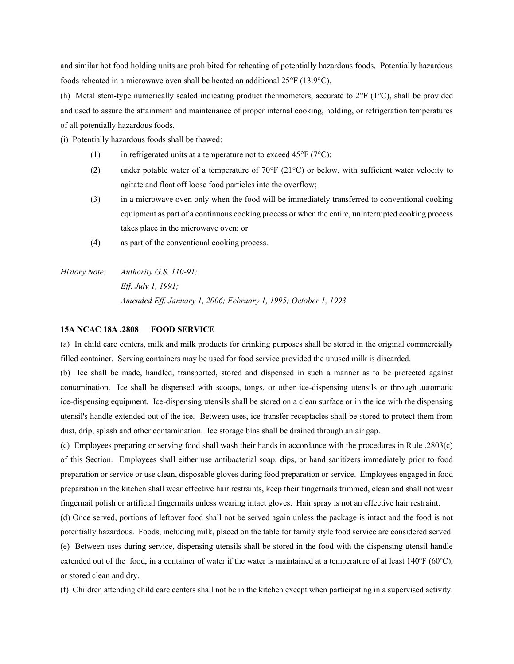and similar hot food holding units are prohibited for reheating of potentially hazardous foods. Potentially hazardous foods reheated in a microwave oven shall be heated an additional  $25^{\circ}F(13.9^{\circ}C)$ .

(h) Metal stem-type numerically scaled indicating product thermometers, accurate to  $2^{\circ}F$  (1 $^{\circ}C$ ), shall be provided and used to assure the attainment and maintenance of proper internal cooking, holding, or refrigeration temperatures of all potentially hazardous foods.

(i) Potentially hazardous foods shall be thawed:

- (1) in refrigerated units at a temperature not to exceed  $45^{\circ}F (7^{\circ}C)$ ;
- (2) under potable water of a temperature of  $70^{\circ}F(21^{\circ}C)$  or below, with sufficient water velocity to agitate and float off loose food particles into the overflow;
- (3) in a microwave oven only when the food will be immediately transferred to conventional cooking equipment as part of a continuous cooking process or when the entire, uninterrupted cooking process takes place in the microwave oven; or
- (4) as part of the conventional cooking process.
- *History Note: Authority G.S. 110-91; Eff. July 1, 1991; Amended Eff. January 1, 2006; February 1, 1995; October 1, 1993.*

#### **15A NCAC 18A .2808 FOOD SERVICE**

(a) In child care centers, milk and milk products for drinking purposes shall be stored in the original commercially filled container. Serving containers may be used for food service provided the unused milk is discarded.

(b) Ice shall be made, handled, transported, stored and dispensed in such a manner as to be protected against contamination. Ice shall be dispensed with scoops, tongs, or other ice-dispensing utensils or through automatic ice-dispensing equipment. Ice-dispensing utensils shall be stored on a clean surface or in the ice with the dispensing utensil's handle extended out of the ice. Between uses, ice transfer receptacles shall be stored to protect them from dust, drip, splash and other contamination. Ice storage bins shall be drained through an air gap.

(c) Employees preparing or serving food shall wash their hands in accordance with the procedures in Rule .2803(c) of this Section. Employees shall either use antibacterial soap, dips, or hand sanitizers immediately prior to food preparation or service or use clean, disposable gloves during food preparation or service. Employees engaged in food preparation in the kitchen shall wear effective hair restraints, keep their fingernails trimmed, clean and shall not wear fingernail polish or artificial fingernails unless wearing intact gloves. Hair spray is not an effective hair restraint.

(d) Once served, portions of leftover food shall not be served again unless the package is intact and the food is not potentially hazardous. Foods, including milk, placed on the table for family style food service are considered served. (e) Between uses during service, dispensing utensils shall be stored in the food with the dispensing utensil handle extended out of the food, in a container of water if the water is maintained at a temperature of at least 140°F (60°C),

or stored clean and dry.

(f) Children attending child care centers shall not be in the kitchen except when participating in a supervised activity.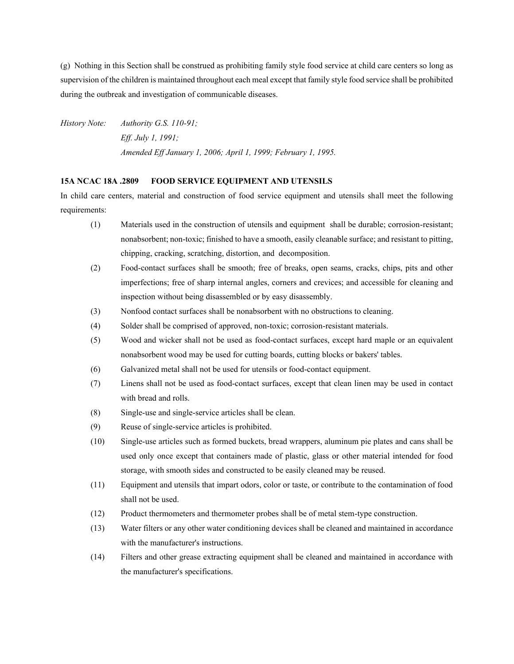(g) Nothing in this Section shall be construed as prohibiting family style food service at child care centers so long as supervision of the children is maintained throughout each meal except that family style food service shall be prohibited during the outbreak and investigation of communicable diseases.

*History Note: Authority G.S. 110-91; Eff. July 1, 1991; Amended Eff January 1, 2006; April 1, 1999; February 1, 1995.* 

#### **15A NCAC 18A .2809 FOOD SERVICE EQUIPMENT AND UTENSILS**

In child care centers, material and construction of food service equipment and utensils shall meet the following requirements:

- (1) Materials used in the construction of utensils and equipment shall be durable; corrosion-resistant; nonabsorbent; non-toxic; finished to have a smooth, easily cleanable surface; and resistant to pitting, chipping, cracking, scratching, distortion, and decomposition.
- (2) Food-contact surfaces shall be smooth; free of breaks, open seams, cracks, chips, pits and other imperfections; free of sharp internal angles, corners and crevices; and accessible for cleaning and inspection without being disassembled or by easy disassembly.
- (3) Nonfood contact surfaces shall be nonabsorbent with no obstructions to cleaning.
- (4) Solder shall be comprised of approved, non-toxic; corrosion-resistant materials.
- (5) Wood and wicker shall not be used as food-contact surfaces, except hard maple or an equivalent nonabsorbent wood may be used for cutting boards, cutting blocks or bakers' tables.
- (6) Galvanized metal shall not be used for utensils or food-contact equipment.
- (7) Linens shall not be used as food-contact surfaces, except that clean linen may be used in contact with bread and rolls.
- (8) Single-use and single-service articles shall be clean.
- (9) Reuse of single-service articles is prohibited.
- (10) Single-use articles such as formed buckets, bread wrappers, aluminum pie plates and cans shall be used only once except that containers made of plastic, glass or other material intended for food storage, with smooth sides and constructed to be easily cleaned may be reused.
- (11) Equipment and utensils that impart odors, color or taste, or contribute to the contamination of food shall not be used.
- (12) Product thermometers and thermometer probes shall be of metal stem-type construction.
- (13) Water filters or any other water conditioning devices shall be cleaned and maintained in accordance with the manufacturer's instructions.
- (14) Filters and other grease extracting equipment shall be cleaned and maintained in accordance with the manufacturer's specifications.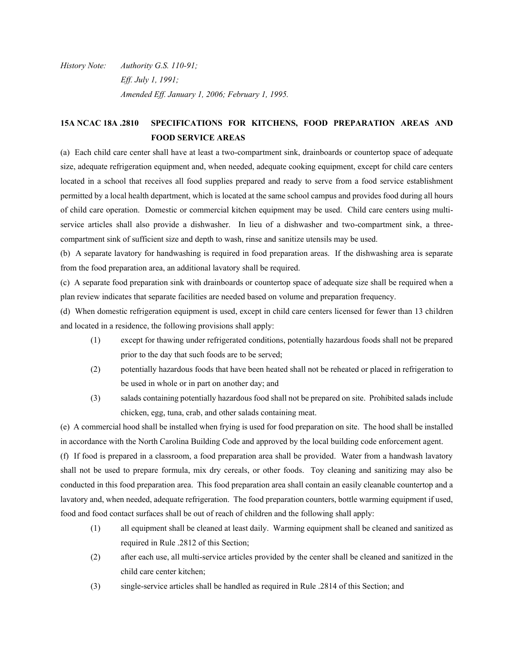*History Note: Authority G.S. 110-91; Eff. July 1, 1991; Amended Eff. January 1, 2006; February 1, 1995.*

# **15A NCAC 18A .2810 SPECIFICATIONS FOR KITCHENS, FOOD PREPARATION AREAS AND FOOD SERVICE AREAS**

(a) Each child care center shall have at least a two-compartment sink, drainboards or countertop space of adequate size, adequate refrigeration equipment and, when needed, adequate cooking equipment, except for child care centers located in a school that receives all food supplies prepared and ready to serve from a food service establishment permitted by a local health department, which is located at the same school campus and provides food during all hours of child care operation. Domestic or commercial kitchen equipment may be used. Child care centers using multiservice articles shall also provide a dishwasher. In lieu of a dishwasher and two-compartment sink, a threecompartment sink of sufficient size and depth to wash, rinse and sanitize utensils may be used.

(b) A separate lavatory for handwashing is required in food preparation areas. If the dishwashing area is separate from the food preparation area, an additional lavatory shall be required.

(c) A separate food preparation sink with drainboards or countertop space of adequate size shall be required when a plan review indicates that separate facilities are needed based on volume and preparation frequency.

(d) When domestic refrigeration equipment is used, except in child care centers licensed for fewer than 13 children and located in a residence, the following provisions shall apply:

- (1) except for thawing under refrigerated conditions, potentially hazardous foods shall not be prepared prior to the day that such foods are to be served;
- (2) potentially hazardous foods that have been heated shall not be reheated or placed in refrigeration to be used in whole or in part on another day; and
- (3) salads containing potentially hazardous food shall not be prepared on site. Prohibited salads include chicken, egg, tuna, crab, and other salads containing meat.

(e) A commercial hood shall be installed when frying is used for food preparation on site. The hood shall be installed in accordance with the North Carolina Building Code and approved by the local building code enforcement agent.

(f) If food is prepared in a classroom, a food preparation area shall be provided. Water from a handwash lavatory shall not be used to prepare formula, mix dry cereals, or other foods. Toy cleaning and sanitizing may also be conducted in this food preparation area. This food preparation area shall contain an easily cleanable countertop and a lavatory and, when needed, adequate refrigeration. The food preparation counters, bottle warming equipment if used, food and food contact surfaces shall be out of reach of children and the following shall apply:

- (1) all equipment shall be cleaned at least daily. Warming equipment shall be cleaned and sanitized as required in Rule .2812 of this Section;
- (2) after each use, all multi-service articles provided by the center shall be cleaned and sanitized in the child care center kitchen;
- (3) single-service articles shall be handled as required in Rule .2814 of this Section; and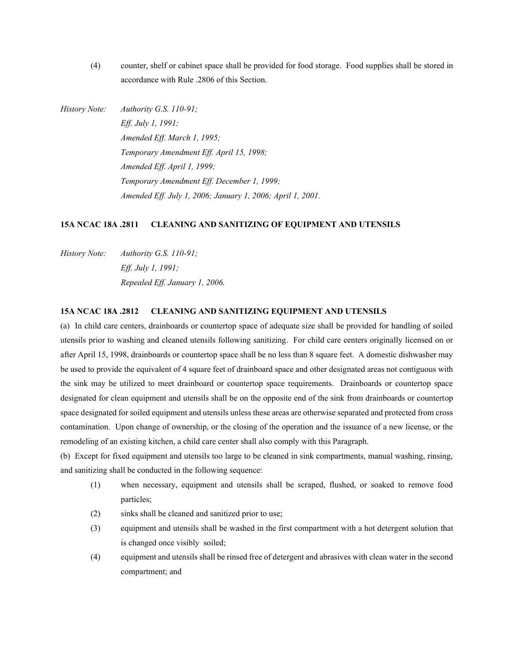(4) counter, shelf or cabinet space shall be provided for food storage. Food supplies shall be stored in accordance with Rule .2806 of this Section.

*History Note: Authority G.S. 110-91; Eff. July 1, 1991; Amended Eff. March 1, 1995; Temporary Amendment Eff. April 15, 1998; Amended Eff. April 1, 1999; Temporary Amendment Eff. December 1, 1999; Amended Eff. July 1, 2006; January 1, 2006; April 1, 2001.*

#### **15A NCAC 18A .2811 CLEANING AND SANITIZING OF EQUIPMENT AND UTENSILS**

*History Note: Authority G.S. 110-91; Eff. July 1, 1991; Repealed Eff. January 1, 2006.*

#### **15A NCAC 18A .2812 CLEANING AND SANITIZING EQUIPMENT AND UTENSILS**

(a) In child care centers, drainboards or countertop space of adequate size shall be provided for handling of soiled utensils prior to washing and cleaned utensils following sanitizing. For child care centers originally licensed on or after April 15, 1998, drainboards or countertop space shall be no less than 8 square feet. A domestic dishwasher may be used to provide the equivalent of 4 square feet of drainboard space and other designated areas not contiguous with the sink may be utilized to meet drainboard or countertop space requirements. Drainboards or countertop space designated for clean equipment and utensils shall be on the opposite end of the sink from drainboards or countertop space designated for soiled equipment and utensils unless these areas are otherwise separated and protected from cross contamination. Upon change of ownership, or the closing of the operation and the issuance of a new license, or the remodeling of an existing kitchen, a child care center shall also comply with this Paragraph.

(b) Except for fixed equipment and utensils too large to be cleaned in sink compartments, manual washing, rinsing, and sanitizing shall be conducted in the following sequence:

- (1) when necessary, equipment and utensils shall be scraped, flushed, or soaked to remove food particles;
- (2) sinks shall be cleaned and sanitized prior to use;
- (3) equipment and utensils shall be washed in the first compartment with a hot detergent solution that is changed once visibly soiled;
- (4) equipment and utensils shall be rinsed free of detergent and abrasives with clean water in the second compartment; and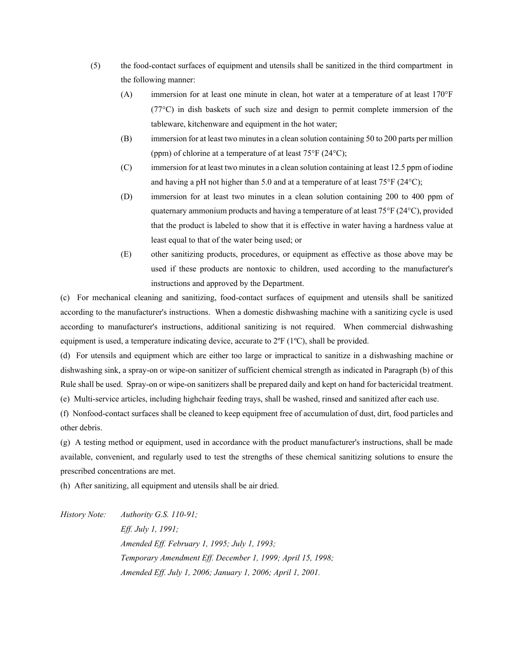- (5) the food-contact surfaces of equipment and utensils shall be sanitized in the third compartment in the following manner:
	- (A) immersion for at least one minute in clean, hot water at a temperature of at least 170°F  $(77^{\circ}C)$  in dish baskets of such size and design to permit complete immersion of the tableware, kitchenware and equipment in the hot water;
	- (B) immersion for at least two minutes in a clean solution containing 50 to 200 parts per million (ppm) of chlorine at a temperature of at least 75°F (24°C);
	- (C) immersion for at least two minutes in a clean solution containing at least 12.5 ppm of iodine and having a pH not higher than 5.0 and at a temperature of at least 75°F (24°C);
	- (D) immersion for at least two minutes in a clean solution containing 200 to 400 ppm of quaternary ammonium products and having a temperature of at least 75°F (24°C), provided that the product is labeled to show that it is effective in water having a hardness value at least equal to that of the water being used; or
	- (E) other sanitizing products, procedures, or equipment as effective as those above may be used if these products are nontoxic to children, used according to the manufacturer's instructions and approved by the Department.

(c) For mechanical cleaning and sanitizing, food-contact surfaces of equipment and utensils shall be sanitized according to the manufacturer's instructions. When a domestic dishwashing machine with a sanitizing cycle is used according to manufacturer's instructions, additional sanitizing is not required. When commercial dishwashing equipment is used, a temperature indicating device, accurate to 2ºF (1ºC), shall be provided.

(d) For utensils and equipment which are either too large or impractical to sanitize in a dishwashing machine or dishwashing sink, a spray-on or wipe-on sanitizer of sufficient chemical strength as indicated in Paragraph (b) of this Rule shall be used. Spray-on or wipe-on sanitizers shall be prepared daily and kept on hand for bactericidal treatment. (e) Multi-service articles, including highchair feeding trays, shall be washed, rinsed and sanitized after each use.

(f) Nonfood-contact surfaces shall be cleaned to keep equipment free of accumulation of dust, dirt, food particles and other debris.

(g) A testing method or equipment, used in accordance with the product manufacturer's instructions, shall be made available, convenient, and regularly used to test the strengths of these chemical sanitizing solutions to ensure the prescribed concentrations are met.

(h) After sanitizing, all equipment and utensils shall be air dried.

*History Note: Authority G.S. 110-91; Eff. July 1, 1991; Amended Eff. February 1, 1995; July 1, 1993; Temporary Amendment Eff. December 1, 1999; April 15, 1998; Amended Eff. July 1, 2006; January 1, 2006; April 1, 2001.*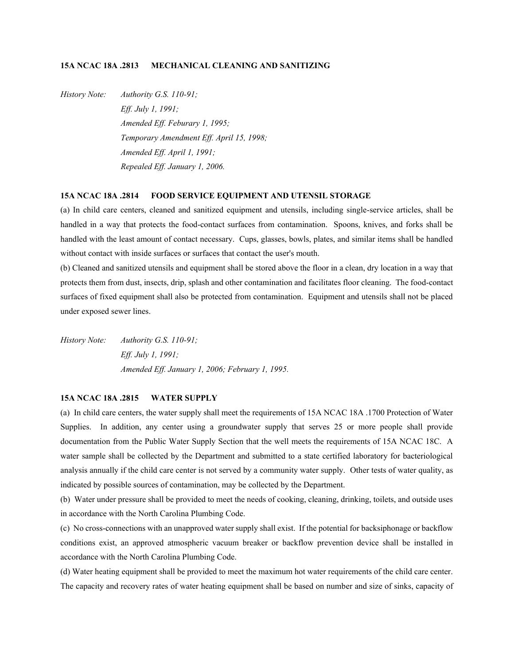# **15A NCAC 18A .2813 MECHANICAL CLEANING AND SANITIZING**

*History Note: Authority G.S. 110-91; Eff. July 1, 1991; Amended Eff. Feburary 1, 1995; Temporary Amendment Eff. April 15, 1998; Amended Eff. April 1, 1991; Repealed Eff. January 1, 2006.*

# **15A NCAC 18A .2814 FOOD SERVICE EQUIPMENT AND UTENSIL STORAGE**

(a) In child care centers, cleaned and sanitized equipment and utensils, including single-service articles, shall be handled in a way that protects the food-contact surfaces from contamination. Spoons, knives, and forks shall be handled with the least amount of contact necessary. Cups, glasses, bowls, plates, and similar items shall be handled without contact with inside surfaces or surfaces that contact the user's mouth.

(b) Cleaned and sanitized utensils and equipment shall be stored above the floor in a clean, dry location in a way that protects them from dust, insects, drip, splash and other contamination and facilitates floor cleaning. The food-contact surfaces of fixed equipment shall also be protected from contamination. Equipment and utensils shall not be placed under exposed sewer lines.

*History Note: Authority G.S. 110-91; Eff. July 1, 1991; Amended Eff. January 1, 2006; February 1, 1995.* 

#### **15A NCAC 18A .2815 WATER SUPPLY**

(a) In child care centers, the water supply shall meet the requirements of 15A NCAC 18A .1700 Protection of Water Supplies. In addition, any center using a groundwater supply that serves 25 or more people shall provide documentation from the Public Water Supply Section that the well meets the requirements of 15A NCAC 18C. A water sample shall be collected by the Department and submitted to a state certified laboratory for bacteriological analysis annually if the child care center is not served by a community water supply. Other tests of water quality, as indicated by possible sources of contamination, may be collected by the Department.

(b) Water under pressure shall be provided to meet the needs of cooking, cleaning, drinking, toilets, and outside uses in accordance with the North Carolina Plumbing Code.

(c) No cross-connections with an unapproved water supply shall exist. If the potential for backsiphonage or backflow conditions exist, an approved atmospheric vacuum breaker or backflow prevention device shall be installed in accordance with the North Carolina Plumbing Code.

(d) Water heating equipment shall be provided to meet the maximum hot water requirements of the child care center. The capacity and recovery rates of water heating equipment shall be based on number and size of sinks, capacity of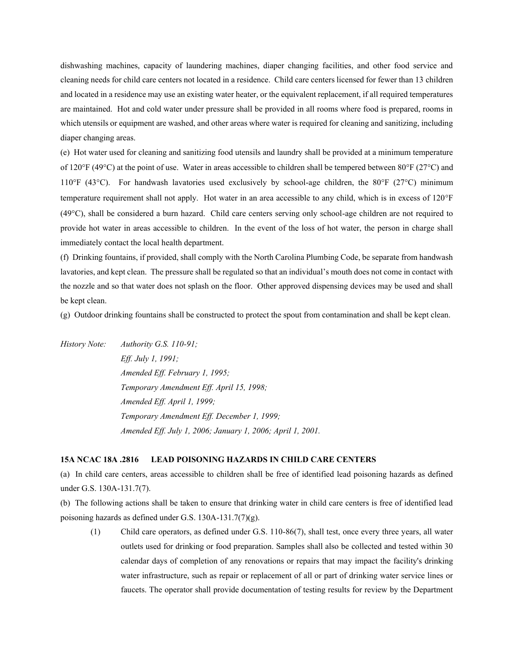dishwashing machines, capacity of laundering machines, diaper changing facilities, and other food service and cleaning needs for child care centers not located in a residence. Child care centers licensed for fewer than 13 children and located in a residence may use an existing water heater, or the equivalent replacement, if all required temperatures are maintained. Hot and cold water under pressure shall be provided in all rooms where food is prepared, rooms in which utensils or equipment are washed, and other areas where water is required for cleaning and sanitizing, including diaper changing areas.

(e) Hot water used for cleaning and sanitizing food utensils and laundry shall be provided at a minimum temperature of 120°F (49°C) at the point of use. Water in areas accessible to children shall be tempered between 80°F (27°C) and 110°F (43°C). For handwash lavatories used exclusively by school-age children, the 80°F (27°C) minimum temperature requirement shall not apply. Hot water in an area accessible to any child, which is in excess of 120°F (49C), shall be considered a burn hazard. Child care centers serving only school-age children are not required to provide hot water in areas accessible to children. In the event of the loss of hot water, the person in charge shall immediately contact the local health department.

(f) Drinking fountains, if provided, shall comply with the North Carolina Plumbing Code, be separate from handwash lavatories, and kept clean. The pressure shall be regulated so that an individual's mouth does not come in contact with the nozzle and so that water does not splash on the floor. Other approved dispensing devices may be used and shall be kept clean.

(g) Outdoor drinking fountains shall be constructed to protect the spout from contamination and shall be kept clean.

*History Note: Authority G.S. 110-91; Eff. July 1, 1991; Amended Eff. February 1, 1995; Temporary Amendment Eff. April 15, 1998; Amended Eff. April 1, 1999; Temporary Amendment Eff. December 1, 1999; Amended Eff. July 1, 2006; January 1, 2006; April 1, 2001.*

#### **15A NCAC 18A .2816 LEAD POISONING HAZARDS IN CHILD CARE CENTERS**

(a) In child care centers, areas accessible to children shall be free of identified lead poisoning hazards as defined under G.S. 130A-131.7(7).

(b) The following actions shall be taken to ensure that drinking water in child care centers is free of identified lead poisoning hazards as defined under G.S. 130A-131.7(7)(g).

(1) Child care operators, as defined under G.S. 110-86(7), shall test, once every three years, all water outlets used for drinking or food preparation. Samples shall also be collected and tested within 30 calendar days of completion of any renovations or repairs that may impact the facility's drinking water infrastructure, such as repair or replacement of all or part of drinking water service lines or faucets. The operator shall provide documentation of testing results for review by the Department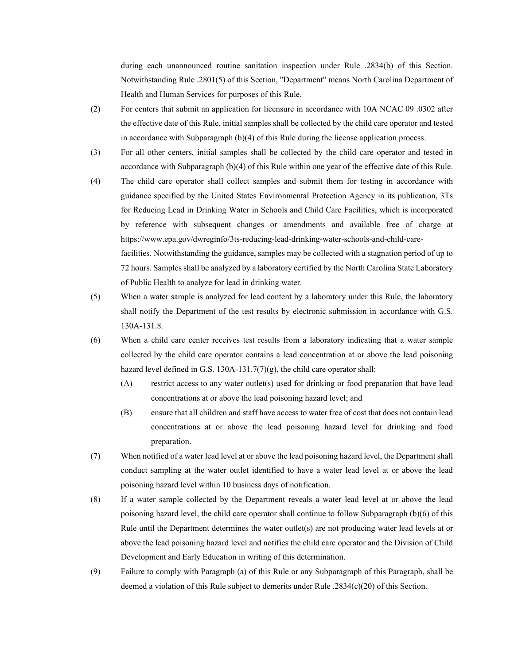during each unannounced routine sanitation inspection under Rule .2834(b) of this Section. Notwithstanding Rule .2801(5) of this Section, "Department" means North Carolina Department of Health and Human Services for purposes of this Rule.

- (2) For centers that submit an application for licensure in accordance with 10A NCAC 09 .0302 after the effective date of this Rule, initial samples shall be collected by the child care operator and tested in accordance with Subparagraph (b)(4) of this Rule during the license application process.
- (3) For all other centers, initial samples shall be collected by the child care operator and tested in accordance with Subparagraph (b)(4) of this Rule within one year of the effective date of this Rule.
- (4) The child care operator shall collect samples and submit them for testing in accordance with guidance specified by the United States Environmental Protection Agency in its publication, 3Ts for Reducing Lead in Drinking Water in Schools and Child Care Facilities, which is incorporated by reference with subsequent changes or amendments and available free of charge at https://www.epa.gov/dwreginfo/3ts-reducing-lead-drinking-water-schools-and-child-carefacilities. Notwithstanding the guidance, samples may be collected with a stagnation period of up to 72 hours. Samples shall be analyzed by a laboratory certified by the North Carolina State Laboratory of Public Health to analyze for lead in drinking water.
- (5) When a water sample is analyzed for lead content by a laboratory under this Rule, the laboratory shall notify the Department of the test results by electronic submission in accordance with G.S. 130A-131.8.
- (6) When a child care center receives test results from a laboratory indicating that a water sample collected by the child care operator contains a lead concentration at or above the lead poisoning hazard level defined in G.S. 130A-131.7(7)(g), the child care operator shall:
	- (A) restrict access to any water outlet(s) used for drinking or food preparation that have lead concentrations at or above the lead poisoning hazard level; and
	- (B) ensure that all children and staff have access to water free of cost that does not contain lead concentrations at or above the lead poisoning hazard level for drinking and food preparation.
- (7) When notified of a water lead level at or above the lead poisoning hazard level, the Department shall conduct sampling at the water outlet identified to have a water lead level at or above the lead poisoning hazard level within 10 business days of notification.
- (8) If a water sample collected by the Department reveals a water lead level at or above the lead poisoning hazard level, the child care operator shall continue to follow Subparagraph (b)(6) of this Rule until the Department determines the water outlet(s) are not producing water lead levels at or above the lead poisoning hazard level and notifies the child care operator and the Division of Child Development and Early Education in writing of this determination.
- (9) Failure to comply with Paragraph (a) of this Rule or any Subparagraph of this Paragraph, shall be deemed a violation of this Rule subject to demerits under Rule .2834(c)(20) of this Section.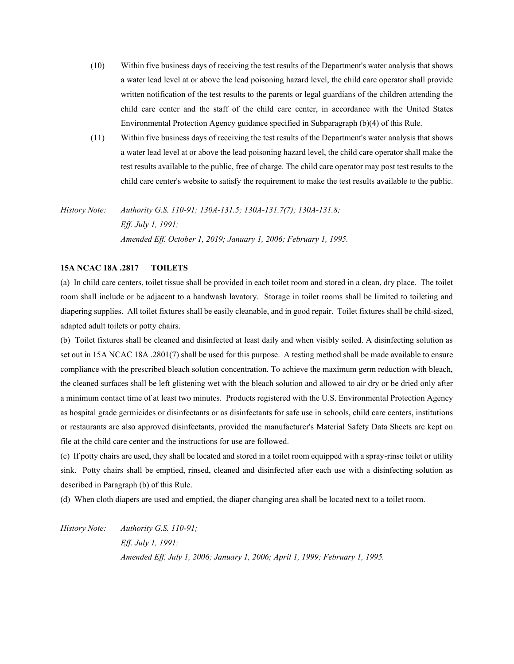- (10) Within five business days of receiving the test results of the Department's water analysis that shows a water lead level at or above the lead poisoning hazard level, the child care operator shall provide written notification of the test results to the parents or legal guardians of the children attending the child care center and the staff of the child care center, in accordance with the United States Environmental Protection Agency guidance specified in Subparagraph (b)(4) of this Rule.
- (11) Within five business days of receiving the test results of the Department's water analysis that shows a water lead level at or above the lead poisoning hazard level, the child care operator shall make the test results available to the public, free of charge. The child care operator may post test results to the child care center's website to satisfy the requirement to make the test results available to the public.

# *History Note: Authority G.S. 110-91; 130A-131.5; 130A-131.7(7); 130A-131.8; Eff. July 1, 1991; Amended Eff. October 1, 2019; January 1, 2006; February 1, 1995.*

# **15A NCAC 18A .2817 TOILETS**

(a) In child care centers, toilet tissue shall be provided in each toilet room and stored in a clean, dry place. The toilet room shall include or be adjacent to a handwash lavatory. Storage in toilet rooms shall be limited to toileting and diapering supplies. All toilet fixtures shall be easily cleanable, and in good repair. Toilet fixtures shall be child-sized, adapted adult toilets or potty chairs.

(b) Toilet fixtures shall be cleaned and disinfected at least daily and when visibly soiled. A disinfecting solution as set out in 15A NCAC 18A .2801(7) shall be used for this purpose. A testing method shall be made available to ensure compliance with the prescribed bleach solution concentration. To achieve the maximum germ reduction with bleach, the cleaned surfaces shall be left glistening wet with the bleach solution and allowed to air dry or be dried only after a minimum contact time of at least two minutes. Products registered with the U.S. Environmental Protection Agency as hospital grade germicides or disinfectants or as disinfectants for safe use in schools, child care centers, institutions or restaurants are also approved disinfectants, provided the manufacturer's Material Safety Data Sheets are kept on file at the child care center and the instructions for use are followed.

(c) If potty chairs are used, they shall be located and stored in a toilet room equipped with a spray-rinse toilet or utility sink. Potty chairs shall be emptied, rinsed, cleaned and disinfected after each use with a disinfecting solution as described in Paragraph (b) of this Rule.

(d) When cloth diapers are used and emptied, the diaper changing area shall be located next to a toilet room.

*History Note: Authority G.S. 110-91; Eff. July 1, 1991; Amended Eff. July 1, 2006; January 1, 2006; April 1, 1999; February 1, 1995.*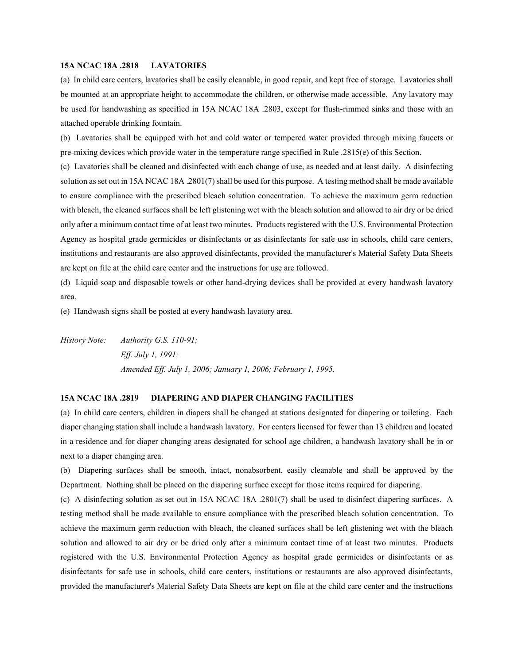#### **15A NCAC 18A .2818 LAVATORIES**

(a) In child care centers, lavatories shall be easily cleanable, in good repair, and kept free of storage. Lavatories shall be mounted at an appropriate height to accommodate the children, or otherwise made accessible. Any lavatory may be used for handwashing as specified in 15A NCAC 18A .2803, except for flush-rimmed sinks and those with an attached operable drinking fountain.

(b) Lavatories shall be equipped with hot and cold water or tempered water provided through mixing faucets or pre-mixing devices which provide water in the temperature range specified in Rule .2815(e) of this Section.

(c) Lavatories shall be cleaned and disinfected with each change of use, as needed and at least daily. A disinfecting solution as set out in 15A NCAC 18A .2801(7) shall be used for this purpose. A testing method shall be made available to ensure compliance with the prescribed bleach solution concentration. To achieve the maximum germ reduction with bleach, the cleaned surfaces shall be left glistening wet with the bleach solution and allowed to air dry or be dried only after a minimum contact time of at least two minutes. Products registered with the U.S. Environmental Protection Agency as hospital grade germicides or disinfectants or as disinfectants for safe use in schools, child care centers, institutions and restaurants are also approved disinfectants, provided the manufacturer's Material Safety Data Sheets are kept on file at the child care center and the instructions for use are followed.

(d) Liquid soap and disposable towels or other hand-drying devices shall be provided at every handwash lavatory area.

(e) Handwash signs shall be posted at every handwash lavatory area.

*History Note: Authority G.S. 110-91; Eff. July 1, 1991; Amended Eff. July 1, 2006; January 1, 2006; February 1, 1995.*

#### **15A NCAC 18A .2819 DIAPERING AND DIAPER CHANGING FACILITIES**

(a) In child care centers, children in diapers shall be changed at stations designated for diapering or toileting. Each diaper changing station shall include a handwash lavatory. For centers licensed for fewer than 13 children and located in a residence and for diaper changing areas designated for school age children, a handwash lavatory shall be in or next to a diaper changing area.

(b) Diapering surfaces shall be smooth, intact, nonabsorbent, easily cleanable and shall be approved by the Department. Nothing shall be placed on the diapering surface except for those items required for diapering.

(c) A disinfecting solution as set out in 15A NCAC 18A .2801(7) shall be used to disinfect diapering surfaces. A testing method shall be made available to ensure compliance with the prescribed bleach solution concentration. To achieve the maximum germ reduction with bleach, the cleaned surfaces shall be left glistening wet with the bleach solution and allowed to air dry or be dried only after a minimum contact time of at least two minutes. Products registered with the U.S. Environmental Protection Agency as hospital grade germicides or disinfectants or as disinfectants for safe use in schools, child care centers, institutions or restaurants are also approved disinfectants, provided the manufacturer's Material Safety Data Sheets are kept on file at the child care center and the instructions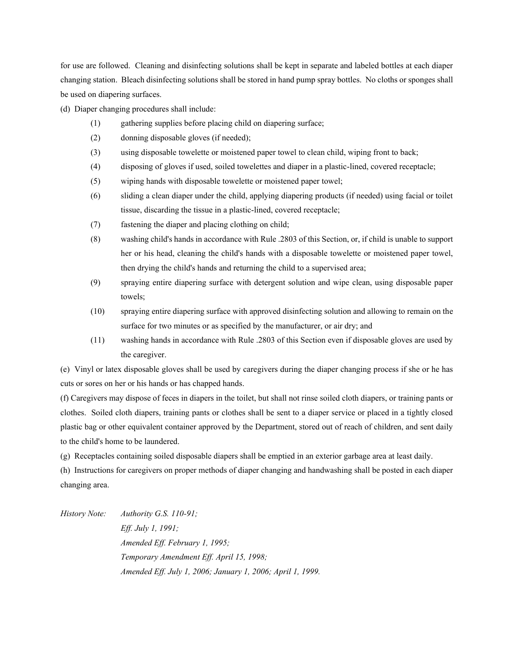for use are followed. Cleaning and disinfecting solutions shall be kept in separate and labeled bottles at each diaper changing station. Bleach disinfecting solutions shall be stored in hand pump spray bottles. No cloths or sponges shall be used on diapering surfaces.

(d) Diaper changing procedures shall include:

- (1) gathering supplies before placing child on diapering surface;
- (2) donning disposable gloves (if needed);
- (3) using disposable towelette or moistened paper towel to clean child, wiping front to back;
- (4) disposing of gloves if used, soiled towelettes and diaper in a plastic-lined, covered receptacle;
- (5) wiping hands with disposable towelette or moistened paper towel;
- (6) sliding a clean diaper under the child, applying diapering products (if needed) using facial or toilet tissue, discarding the tissue in a plastic-lined, covered receptacle;
- (7) fastening the diaper and placing clothing on child;
- (8) washing child's hands in accordance with Rule .2803 of this Section, or, if child is unable to support her or his head, cleaning the child's hands with a disposable towelette or moistened paper towel, then drying the child's hands and returning the child to a supervised area;
- (9) spraying entire diapering surface with detergent solution and wipe clean, using disposable paper towels;
- (10) spraying entire diapering surface with approved disinfecting solution and allowing to remain on the surface for two minutes or as specified by the manufacturer, or air dry; and
- (11) washing hands in accordance with Rule .2803 of this Section even if disposable gloves are used by the caregiver.

(e) Vinyl or latex disposable gloves shall be used by caregivers during the diaper changing process if she or he has cuts or sores on her or his hands or has chapped hands.

(f) Caregivers may dispose of feces in diapers in the toilet, but shall not rinse soiled cloth diapers, or training pants or clothes. Soiled cloth diapers, training pants or clothes shall be sent to a diaper service or placed in a tightly closed plastic bag or other equivalent container approved by the Department, stored out of reach of children, and sent daily to the child's home to be laundered.

(g) Receptacles containing soiled disposable diapers shall be emptied in an exterior garbage area at least daily.

(h) Instructions for caregivers on proper methods of diaper changing and handwashing shall be posted in each diaper changing area.

*History Note: Authority G.S. 110-91; Eff. July 1, 1991; Amended Eff. February 1, 1995; Temporary Amendment Eff. April 15, 1998; Amended Eff. July 1, 2006; January 1, 2006; April 1, 1999.*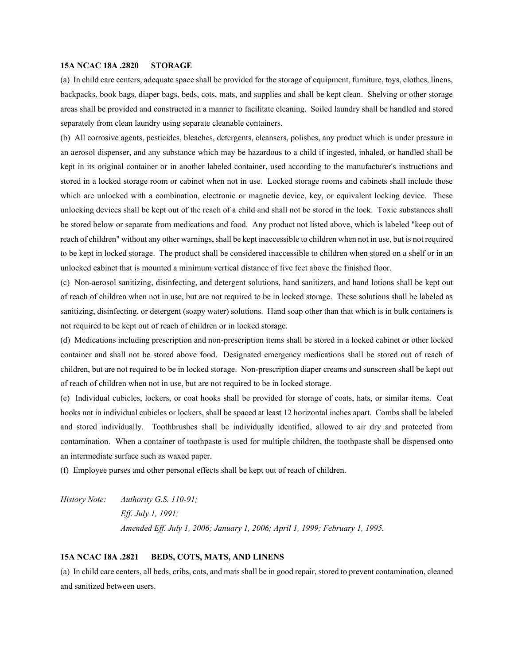#### **15A NCAC 18A .2820 STORAGE**

(a) In child care centers, adequate space shall be provided for the storage of equipment, furniture, toys, clothes, linens, backpacks, book bags, diaper bags, beds, cots, mats, and supplies and shall be kept clean. Shelving or other storage areas shall be provided and constructed in a manner to facilitate cleaning. Soiled laundry shall be handled and stored separately from clean laundry using separate cleanable containers.

(b) All corrosive agents, pesticides, bleaches, detergents, cleansers, polishes, any product which is under pressure in an aerosol dispenser, and any substance which may be hazardous to a child if ingested, inhaled, or handled shall be kept in its original container or in another labeled container, used according to the manufacturer's instructions and stored in a locked storage room or cabinet when not in use. Locked storage rooms and cabinets shall include those which are unlocked with a combination, electronic or magnetic device, key, or equivalent locking device. These unlocking devices shall be kept out of the reach of a child and shall not be stored in the lock. Toxic substances shall be stored below or separate from medications and food. Any product not listed above, which is labeled "keep out of reach of children" without any other warnings, shall be kept inaccessible to children when not in use, but is not required to be kept in locked storage. The product shall be considered inaccessible to children when stored on a shelf or in an unlocked cabinet that is mounted a minimum vertical distance of five feet above the finished floor.

(c) Non-aerosol sanitizing, disinfecting, and detergent solutions, hand sanitizers, and hand lotions shall be kept out of reach of children when not in use, but are not required to be in locked storage. These solutions shall be labeled as sanitizing, disinfecting, or detergent (soapy water) solutions. Hand soap other than that which is in bulk containers is not required to be kept out of reach of children or in locked storage.

(d) Medications including prescription and non-prescription items shall be stored in a locked cabinet or other locked container and shall not be stored above food. Designated emergency medications shall be stored out of reach of children, but are not required to be in locked storage. Non-prescription diaper creams and sunscreen shall be kept out of reach of children when not in use, but are not required to be in locked storage.

(e) Individual cubicles, lockers, or coat hooks shall be provided for storage of coats, hats, or similar items. Coat hooks not in individual cubicles or lockers, shall be spaced at least 12 horizontal inches apart. Combs shall be labeled and stored individually. Toothbrushes shall be individually identified, allowed to air dry and protected from contamination. When a container of toothpaste is used for multiple children, the toothpaste shall be dispensed onto an intermediate surface such as waxed paper.

(f) Employee purses and other personal effects shall be kept out of reach of children.

*History Note: Authority G.S. 110-91; Eff. July 1, 1991; Amended Eff. July 1, 2006; January 1, 2006; April 1, 1999; February 1, 1995.*

#### **15A NCAC 18A .2821 BEDS, COTS, MATS, AND LINENS**

(a) In child care centers, all beds, cribs, cots, and mats shall be in good repair, stored to prevent contamination, cleaned and sanitized between users.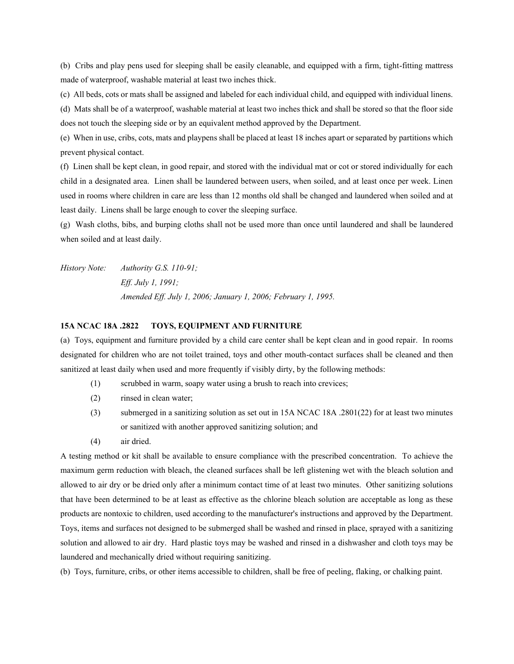(b) Cribs and play pens used for sleeping shall be easily cleanable, and equipped with a firm, tight-fitting mattress made of waterproof, washable material at least two inches thick.

(c) All beds, cots or mats shall be assigned and labeled for each individual child, and equipped with individual linens.

(d) Mats shall be of a waterproof, washable material at least two inches thick and shall be stored so that the floor side does not touch the sleeping side or by an equivalent method approved by the Department.

(e) When in use, cribs, cots, mats and playpens shall be placed at least 18 inches apart or separated by partitions which prevent physical contact.

(f) Linen shall be kept clean, in good repair, and stored with the individual mat or cot or stored individually for each child in a designated area. Linen shall be laundered between users, when soiled, and at least once per week. Linen used in rooms where children in care are less than 12 months old shall be changed and laundered when soiled and at least daily. Linens shall be large enough to cover the sleeping surface.

(g) Wash cloths, bibs, and burping cloths shall not be used more than once until laundered and shall be laundered when soiled and at least daily.

*History Note: Authority G.S. 110-91; Eff. July 1, 1991; Amended Eff. July 1, 2006; January 1, 2006; February 1, 1995.*

#### **15A NCAC 18A .2822 TOYS, EQUIPMENT AND FURNITURE**

(a) Toys, equipment and furniture provided by a child care center shall be kept clean and in good repair. In rooms designated for children who are not toilet trained, toys and other mouth-contact surfaces shall be cleaned and then sanitized at least daily when used and more frequently if visibly dirty, by the following methods:

- (1) scrubbed in warm, soapy water using a brush to reach into crevices;
- (2) rinsed in clean water;
- (3) submerged in a sanitizing solution as set out in 15A NCAC 18A .2801(22) for at least two minutes or sanitized with another approved sanitizing solution; and
- (4) air dried.

A testing method or kit shall be available to ensure compliance with the prescribed concentration. To achieve the maximum germ reduction with bleach, the cleaned surfaces shall be left glistening wet with the bleach solution and allowed to air dry or be dried only after a minimum contact time of at least two minutes. Other sanitizing solutions that have been determined to be at least as effective as the chlorine bleach solution are acceptable as long as these products are nontoxic to children, used according to the manufacturer's instructions and approved by the Department. Toys, items and surfaces not designed to be submerged shall be washed and rinsed in place, sprayed with a sanitizing solution and allowed to air dry. Hard plastic toys may be washed and rinsed in a dishwasher and cloth toys may be laundered and mechanically dried without requiring sanitizing.

(b) Toys, furniture, cribs, or other items accessible to children, shall be free of peeling, flaking, or chalking paint.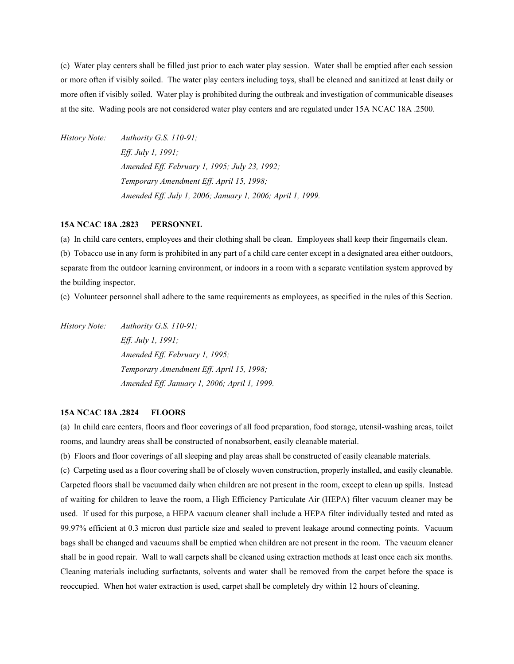(c) Water play centers shall be filled just prior to each water play session. Water shall be emptied after each session or more often if visibly soiled. The water play centers including toys, shall be cleaned and sanitized at least daily or more often if visibly soiled. Water play is prohibited during the outbreak and investigation of communicable diseases at the site. Wading pools are not considered water play centers and are regulated under 15A NCAC 18A .2500.

*History Note: Authority G.S. 110-91; Eff. July 1, 1991; Amended Eff. February 1, 1995; July 23, 1992; Temporary Amendment Eff. April 15, 1998; Amended Eff. July 1, 2006; January 1, 2006; April 1, 1999.*

#### **15A NCAC 18A .2823 PERSONNEL**

(a) In child care centers, employees and their clothing shall be clean. Employees shall keep their fingernails clean.

(b) Tobacco use in any form is prohibited in any part of a child care center except in a designated area either outdoors, separate from the outdoor learning environment, or indoors in a room with a separate ventilation system approved by the building inspector.

(c) Volunteer personnel shall adhere to the same requirements as employees, as specified in the rules of this Section.

*History Note: Authority G.S. 110-91; Eff. July 1, 1991; Amended Eff. February 1, 1995; Temporary Amendment Eff. April 15, 1998; Amended Eff. January 1, 2006; April 1, 1999.*

#### **15A NCAC 18A .2824 FLOORS**

(a) In child care centers, floors and floor coverings of all food preparation, food storage, utensil-washing areas, toilet rooms, and laundry areas shall be constructed of nonabsorbent, easily cleanable material.

(b) Floors and floor coverings of all sleeping and play areas shall be constructed of easily cleanable materials.

(c) Carpeting used as a floor covering shall be of closely woven construction, properly installed, and easily cleanable. Carpeted floors shall be vacuumed daily when children are not present in the room, except to clean up spills. Instead of waiting for children to leave the room, a High Efficiency Particulate Air (HEPA) filter vacuum cleaner may be used. If used for this purpose, a HEPA vacuum cleaner shall include a HEPA filter individually tested and rated as 99.97% efficient at 0.3 micron dust particle size and sealed to prevent leakage around connecting points. Vacuum bags shall be changed and vacuums shall be emptied when children are not present in the room. The vacuum cleaner shall be in good repair. Wall to wall carpets shall be cleaned using extraction methods at least once each six months. Cleaning materials including surfactants, solvents and water shall be removed from the carpet before the space is reoccupied. When hot water extraction is used, carpet shall be completely dry within 12 hours of cleaning.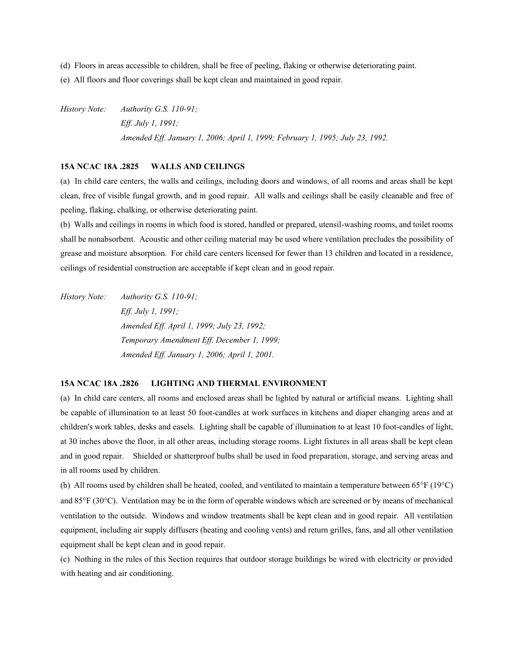(d) Floors in areas accessible to children, shall be free of peeling, flaking or otherwise deteriorating paint.

(e) All floors and floor coverings shall be kept clean and maintained in good repair.

*History Note: Authority G.S. 110-91; Eff. July 1, 1991; Amended Eff. January 1, 2006; April 1, 1999; February 1, 1995; July 23, 1992.*

# **15A NCAC 18A .2825 WALLS AND CEILINGS**

(a) In child care centers, the walls and ceilings, including doors and windows, of all rooms and areas shall be kept clean, free of visible fungal growth, and in good repair. All walls and ceilings shall be easily cleanable and free of peeling, flaking, chalking, or otherwise deteriorating paint.

(b) Walls and ceilings in rooms in which food is stored, handled or prepared, utensil-washing rooms, and toilet rooms shall be nonabsorbent. Acoustic and other ceiling material may be used where ventilation precludes the possibility of grease and moisture absorption. For child care centers licensed for fewer than 13 children and located in a residence, ceilings of residential construction are acceptable if kept clean and in good repair.

*History Note: Authority G.S. 110-91; Eff. July 1, 1991; Amended Eff. April 1, 1999; July 23, 1992; Temporary Amendment Eff. December 1, 1999; Amended Eff. January 1, 2006; April 1, 2001.*

# **15A NCAC 18A .2826 LIGHTING AND THERMAL ENVIRONMENT**

(a) In child care centers, all rooms and enclosed areas shall be lighted by natural or artificial means. Lighting shall be capable of illumination to at least 50 foot-candles at work surfaces in kitchens and diaper changing areas and at children's work tables, desks and easels. Lighting shall be capable of illumination to at least 10 foot-candles of light, at 30 inches above the floor, in all other areas, including storage rooms. Light fixtures in all areas shall be kept clean and in good repair. Shielded or shatterproof bulbs shall be used in food preparation, storage, and serving areas and in all rooms used by children.

(b) All rooms used by children shall be heated, cooled, and ventilated to maintain a temperature between 65 $\degree$ F (19 $\degree$ C) and 85°F (30°C). Ventilation may be in the form of operable windows which are screened or by means of mechanical ventilation to the outside. Windows and window treatments shall be kept clean and in good repair. All ventilation equipment, including air supply diffusers (heating and cooling vents) and return grilles, fans, and all other ventilation equipment shall be kept clean and in good repair.

(c) Nothing in the rules of this Section requires that outdoor storage buildings be wired with electricity or provided with heating and air conditioning.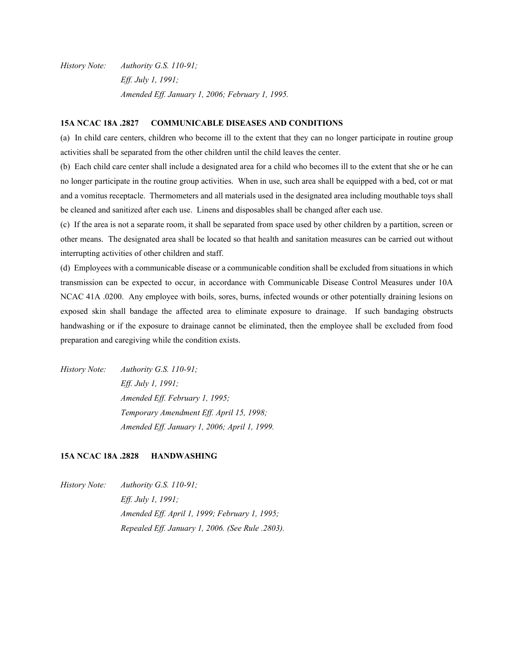*History Note: Authority G.S. 110-91; Eff. July 1, 1991; Amended Eff. January 1, 2006; February 1, 1995.*

# **15A NCAC 18A .2827 COMMUNICABLE DISEASES AND CONDITIONS**

(a) In child care centers, children who become ill to the extent that they can no longer participate in routine group activities shall be separated from the other children until the child leaves the center.

(b) Each child care center shall include a designated area for a child who becomes ill to the extent that she or he can no longer participate in the routine group activities. When in use, such area shall be equipped with a bed, cot or mat and a vomitus receptacle. Thermometers and all materials used in the designated area including mouthable toys shall be cleaned and sanitized after each use. Linens and disposables shall be changed after each use.

(c) If the area is not a separate room, it shall be separated from space used by other children by a partition, screen or other means. The designated area shall be located so that health and sanitation measures can be carried out without interrupting activities of other children and staff.

(d) Employees with a communicable disease or a communicable condition shall be excluded from situations in which transmission can be expected to occur, in accordance with Communicable Disease Control Measures under 10A NCAC 41A .0200. Any employee with boils, sores, burns, infected wounds or other potentially draining lesions on exposed skin shall bandage the affected area to eliminate exposure to drainage. If such bandaging obstructs handwashing or if the exposure to drainage cannot be eliminated, then the employee shall be excluded from food preparation and caregiving while the condition exists.

*History Note: Authority G.S. 110-91; Eff. July 1, 1991; Amended Eff. February 1, 1995; Temporary Amendment Eff. April 15, 1998; Amended Eff. January 1, 2006; April 1, 1999.* 

# **15A NCAC 18A .2828 HANDWASHING**

*History Note: Authority G.S. 110-91; Eff. July 1, 1991; Amended Eff. April 1, 1999; February 1, 1995; Repealed Eff. January 1, 2006. (See Rule .2803).*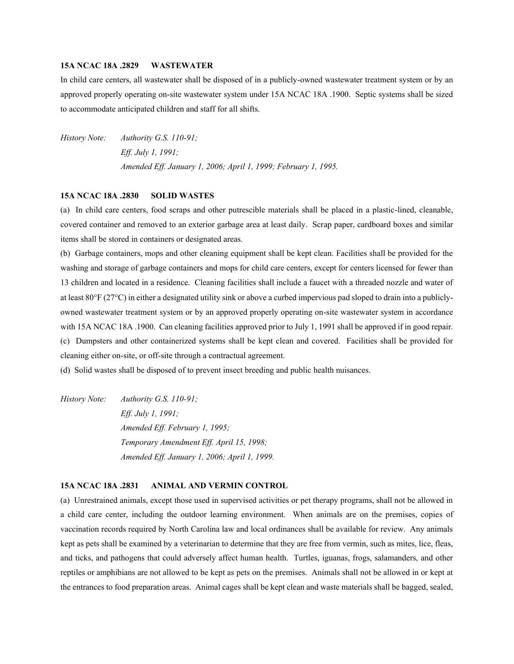#### **15A NCAC 18A .2829 WASTEWATER**

In child care centers, all wastewater shall be disposed of in a publicly-owned wastewater treatment system or by an approved properly operating on-site wastewater system under 15A NCAC 18A .1900. Septic systems shall be sized to accommodate anticipated children and staff for all shifts.

*History Note: Authority G.S. 110-91; Eff. July 1, 1991; Amended Eff. January 1, 2006; April 1, 1999; February 1, 1995.*

#### **15A NCAC 18A .2830 SOLID WASTES**

(a) In child care centers, food scraps and other putrescible materials shall be placed in a plastic-lined, cleanable, covered container and removed to an exterior garbage area at least daily. Scrap paper, cardboard boxes and similar items shall be stored in containers or designated areas.

(b) Garbage containers, mops and other cleaning equipment shall be kept clean. Facilities shall be provided for the washing and storage of garbage containers and mops for child care centers, except for centers licensed for fewer than 13 children and located in a residence. Cleaning facilities shall include a faucet with a threaded nozzle and water of at least  $80^{\circ}F(27^{\circ}C)$  in either a designated utility sink or above a curbed impervious pad sloped to drain into a publiclyowned wastewater treatment system or by an approved properly operating on-site wastewater system in accordance with 15A NCAC 18A .1900. Can cleaning facilities approved prior to July 1, 1991 shall be approved if in good repair. (c) Dumpsters and other containerized systems shall be kept clean and covered. Facilities shall be provided for cleaning either on-site, or off-site through a contractual agreement.

(d) Solid wastes shall be disposed of to prevent insect breeding and public health nuisances.

*History Note: Authority G.S. 110-91; Eff. July 1, 1991; Amended Eff. February 1, 1995; Temporary Amendment Eff. April 15, 1998; Amended Eff. January 1, 2006; April 1, 1999.*

# **15A NCAC 18A .2831 ANIMAL AND VERMIN CONTROL**

(a) Unrestrained animals, except those used in supervised activities or pet therapy programs, shall not be allowed in a child care center, including the outdoor learning environment. When animals are on the premises, copies of vaccination records required by North Carolina law and local ordinances shall be available for review. Any animals kept as pets shall be examined by a veterinarian to determine that they are free from vermin, such as mites, lice, fleas, and ticks, and pathogens that could adversely affect human health. Turtles, iguanas, frogs, salamanders, and other reptiles or amphibians are not allowed to be kept as pets on the premises. Animals shall not be allowed in or kept at the entrances to food preparation areas. Animal cages shall be kept clean and waste materials shall be bagged, sealed,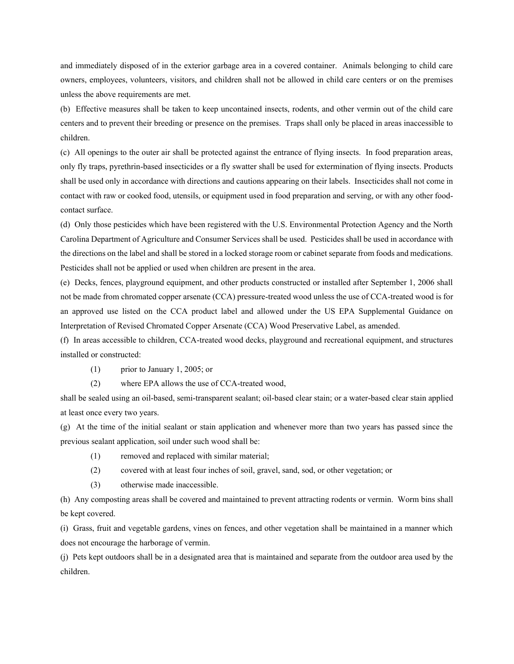and immediately disposed of in the exterior garbage area in a covered container. Animals belonging to child care owners, employees, volunteers, visitors, and children shall not be allowed in child care centers or on the premises unless the above requirements are met.

(b) Effective measures shall be taken to keep uncontained insects, rodents, and other vermin out of the child care centers and to prevent their breeding or presence on the premises. Traps shall only be placed in areas inaccessible to children.

(c) All openings to the outer air shall be protected against the entrance of flying insects. In food preparation areas, only fly traps, pyrethrin-based insecticides or a fly swatter shall be used for extermination of flying insects. Products shall be used only in accordance with directions and cautions appearing on their labels. Insecticides shall not come in contact with raw or cooked food, utensils, or equipment used in food preparation and serving, or with any other foodcontact surface.

(d) Only those pesticides which have been registered with the U.S. Environmental Protection Agency and the North Carolina Department of Agriculture and Consumer Services shall be used. Pesticides shall be used in accordance with the directions on the label and shall be stored in a locked storage room or cabinet separate from foods and medications. Pesticides shall not be applied or used when children are present in the area.

(e) Decks, fences, playground equipment, and other products constructed or installed after September 1, 2006 shall not be made from chromated copper arsenate (CCA) pressure-treated wood unless the use of CCA-treated wood is for an approved use listed on the CCA product label and allowed under the US EPA Supplemental Guidance on Interpretation of Revised Chromated Copper Arsenate (CCA) Wood Preservative Label, as amended.

(f) In areas accessible to children, CCA-treated wood decks, playground and recreational equipment, and structures installed or constructed:

- (1) prior to January 1, 2005; or
- (2) where EPA allows the use of CCA-treated wood,

shall be sealed using an oil-based, semi-transparent sealant; oil-based clear stain; or a water-based clear stain applied at least once every two years.

(g) At the time of the initial sealant or stain application and whenever more than two years has passed since the previous sealant application, soil under such wood shall be:

- (1) removed and replaced with similar material;
- (2) covered with at least four inches of soil, gravel, sand, sod, or other vegetation; or
- (3) otherwise made inaccessible.

(h) Any composting areas shall be covered and maintained to prevent attracting rodents or vermin. Worm bins shall be kept covered.

(i) Grass, fruit and vegetable gardens, vines on fences, and other vegetation shall be maintained in a manner which does not encourage the harborage of vermin.

(j) Pets kept outdoors shall be in a designated area that is maintained and separate from the outdoor area used by the children.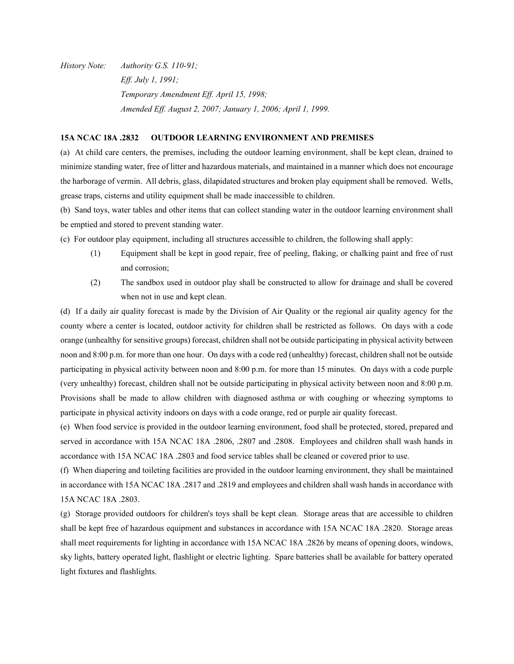*History Note: Authority G.S. 110-91; Eff. July 1, 1991; Temporary Amendment Eff. April 15, 1998; Amended Eff. August 2, 2007; January 1, 2006; April 1, 1999.*

#### **15A NCAC 18A .2832 OUTDOOR LEARNING ENVIRONMENT AND PREMISES**

(a) At child care centers, the premises, including the outdoor learning environment, shall be kept clean, drained to minimize standing water, free of litter and hazardous materials, and maintained in a manner which does not encourage the harborage of vermin. All debris, glass, dilapidated structures and broken play equipment shall be removed. Wells, grease traps, cisterns and utility equipment shall be made inaccessible to children.

(b) Sand toys, water tables and other items that can collect standing water in the outdoor learning environment shall be emptied and stored to prevent standing water.

- (c) For outdoor play equipment, including all structures accessible to children, the following shall apply:
	- (1) Equipment shall be kept in good repair, free of peeling, flaking, or chalking paint and free of rust and corrosion;
	- (2) The sandbox used in outdoor play shall be constructed to allow for drainage and shall be covered when not in use and kept clean.

(d) If a daily air quality forecast is made by the Division of Air Quality or the regional air quality agency for the county where a center is located, outdoor activity for children shall be restricted as follows. On days with a code orange (unhealthy for sensitive groups) forecast, children shall not be outside participating in physical activity between noon and 8:00 p.m. for more than one hour. On days with a code red (unhealthy) forecast, children shall not be outside participating in physical activity between noon and 8:00 p.m. for more than 15 minutes. On days with a code purple (very unhealthy) forecast, children shall not be outside participating in physical activity between noon and 8:00 p.m. Provisions shall be made to allow children with diagnosed asthma or with coughing or wheezing symptoms to participate in physical activity indoors on days with a code orange, red or purple air quality forecast.

(e) When food service is provided in the outdoor learning environment, food shall be protected, stored, prepared and served in accordance with 15A NCAC 18A .2806, .2807 and .2808. Employees and children shall wash hands in accordance with 15A NCAC 18A .2803 and food service tables shall be cleaned or covered prior to use.

(f) When diapering and toileting facilities are provided in the outdoor learning environment, they shall be maintained in accordance with 15A NCAC 18A .2817 and .2819 and employees and children shall wash hands in accordance with 15A NCAC 18A .2803.

(g) Storage provided outdoors for children's toys shall be kept clean. Storage areas that are accessible to children shall be kept free of hazardous equipment and substances in accordance with 15A NCAC 18A .2820. Storage areas shall meet requirements for lighting in accordance with 15A NCAC 18A .2826 by means of opening doors, windows, sky lights, battery operated light, flashlight or electric lighting. Spare batteries shall be available for battery operated light fixtures and flashlights.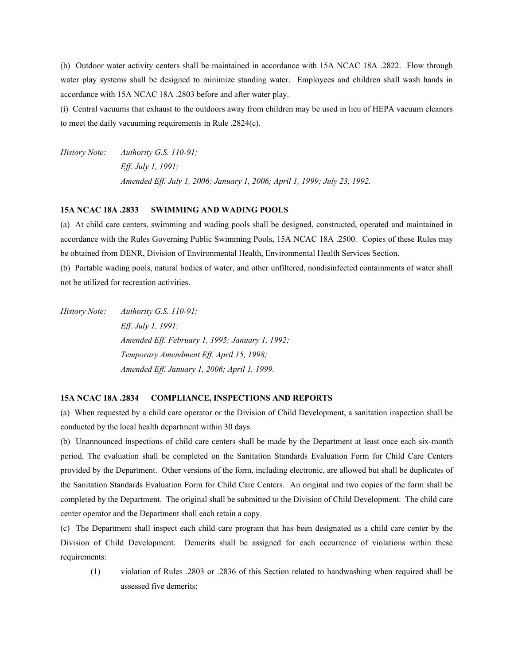(h) Outdoor water activity centers shall be maintained in accordance with 15A NCAC 18A .2822. Flow through water play systems shall be designed to minimize standing water. Employees and children shall wash hands in accordance with 15A NCAC 18A .2803 before and after water play.

(i) Central vacuums that exhaust to the outdoors away from children may be used in lieu of HEPA vacuum cleaners to meet the daily vacuuming requirements in Rule .2824(c).

*History Note: Authority G.S. 110-91; Eff. July 1, 1991; Amended Eff. July 1, 2006; January 1, 2006; April 1, 1999; July 23, 1992.*

#### **15A NCAC 18A .2833 SWIMMING AND WADING POOLS**

(a) At child care centers, swimming and wading pools shall be designed, constructed, operated and maintained in accordance with the Rules Governing Public Swimming Pools, 15A NCAC 18A .2500. Copies of these Rules may be obtained from DENR, Division of Environmental Health, Environmental Health Services Section.

(b) Portable wading pools, natural bodies of water, and other unfiltered, nondisinfected containments of water shall not be utilized for recreation activities.

*History Note: Authority G.S. 110-91; Eff. July 1, 1991; Amended Eff. February 1, 1995; January 1, 1992; Temporary Amendment Eff. April 15, 1998; Amended Eff. January 1, 2006; April 1, 1999.* 

#### **15A NCAC 18A .2834 COMPLIANCE, INSPECTIONS AND REPORTS**

(a) When requested by a child care operator or the Division of Child Development, a sanitation inspection shall be conducted by the local health department within 30 days.

(b) Unannounced inspections of child care centers shall be made by the Department at least once each six-month period. The evaluation shall be completed on the Sanitation Standards Evaluation Form for Child Care Centers provided by the Department. Other versions of the form, including electronic, are allowed but shall be duplicates of the Sanitation Standards Evaluation Form for Child Care Centers. An original and two copies of the form shall be completed by the Department. The original shall be submitted to the Division of Child Development. The child care center operator and the Department shall each retain a copy.

(c) The Department shall inspect each child care program that has been designated as a child care center by the Division of Child Development. Demerits shall be assigned for each occurrence of violations within these requirements:

(1) violation of Rules .2803 or .2836 of this Section related to handwashing when required shall be assessed five demerits;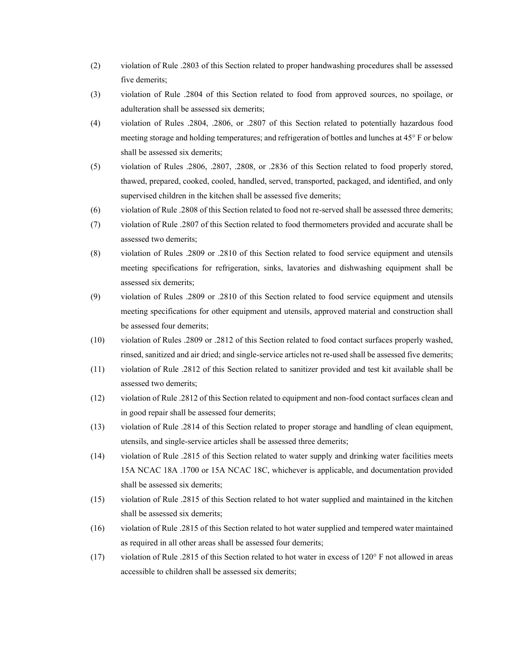- (2) violation of Rule .2803 of this Section related to proper handwashing procedures shall be assessed five demerits;
- (3) violation of Rule .2804 of this Section related to food from approved sources, no spoilage, or adulteration shall be assessed six demerits;
- (4) violation of Rules .2804, .2806, or .2807 of this Section related to potentially hazardous food meeting storage and holding temperatures; and refrigeration of bottles and lunches at 45° F or below shall be assessed six demerits;
- (5) violation of Rules .2806, .2807, .2808, or .2836 of this Section related to food properly stored, thawed, prepared, cooked, cooled, handled, served, transported, packaged, and identified, and only supervised children in the kitchen shall be assessed five demerits;
- (6) violation of Rule .2808 of this Section related to food not re-served shall be assessed three demerits;
- (7) violation of Rule .2807 of this Section related to food thermometers provided and accurate shall be assessed two demerits;
- (8) violation of Rules .2809 or .2810 of this Section related to food service equipment and utensils meeting specifications for refrigeration, sinks, lavatories and dishwashing equipment shall be assessed six demerits;
- (9) violation of Rules .2809 or .2810 of this Section related to food service equipment and utensils meeting specifications for other equipment and utensils, approved material and construction shall be assessed four demerits;
- (10) violation of Rules .2809 or .2812 of this Section related to food contact surfaces properly washed, rinsed, sanitized and air dried; and single-service articles not re-used shall be assessed five demerits;
- (11) violation of Rule .2812 of this Section related to sanitizer provided and test kit available shall be assessed two demerits;
- (12) violation of Rule .2812 of this Section related to equipment and non-food contact surfaces clean and in good repair shall be assessed four demerits;
- (13) violation of Rule .2814 of this Section related to proper storage and handling of clean equipment, utensils, and single-service articles shall be assessed three demerits;
- (14) violation of Rule .2815 of this Section related to water supply and drinking water facilities meets 15A NCAC 18A .1700 or 15A NCAC 18C, whichever is applicable, and documentation provided shall be assessed six demerits;
- (15) violation of Rule .2815 of this Section related to hot water supplied and maintained in the kitchen shall be assessed six demerits;
- (16) violation of Rule .2815 of this Section related to hot water supplied and tempered water maintained as required in all other areas shall be assessed four demerits;
- (17) violation of Rule .2815 of this Section related to hot water in excess of 120° F not allowed in areas accessible to children shall be assessed six demerits;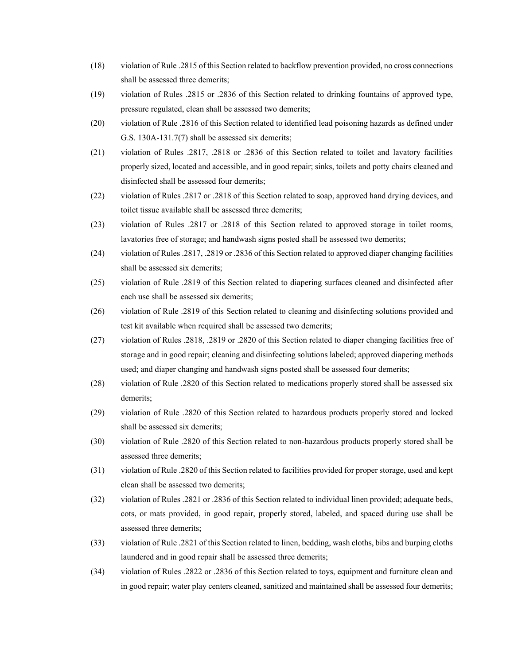- (18) violation of Rule .2815 of this Section related to backflow prevention provided, no cross connections shall be assessed three demerits;
- (19) violation of Rules .2815 or .2836 of this Section related to drinking fountains of approved type, pressure regulated, clean shall be assessed two demerits;
- (20) violation of Rule .2816 of this Section related to identified lead poisoning hazards as defined under G.S. 130A-131.7(7) shall be assessed six demerits;
- (21) violation of Rules .2817, .2818 or .2836 of this Section related to toilet and lavatory facilities properly sized, located and accessible, and in good repair; sinks, toilets and potty chairs cleaned and disinfected shall be assessed four demerits;
- (22) violation of Rules .2817 or .2818 of this Section related to soap, approved hand drying devices, and toilet tissue available shall be assessed three demerits;
- (23) violation of Rules .2817 or .2818 of this Section related to approved storage in toilet rooms, lavatories free of storage; and handwash signs posted shall be assessed two demerits;
- (24) violation of Rules .2817, .2819 or .2836 of this Section related to approved diaper changing facilities shall be assessed six demerits;
- (25) violation of Rule .2819 of this Section related to diapering surfaces cleaned and disinfected after each use shall be assessed six demerits;
- (26) violation of Rule .2819 of this Section related to cleaning and disinfecting solutions provided and test kit available when required shall be assessed two demerits;
- (27) violation of Rules .2818, .2819 or .2820 of this Section related to diaper changing facilities free of storage and in good repair; cleaning and disinfecting solutions labeled; approved diapering methods used; and diaper changing and handwash signs posted shall be assessed four demerits;
- (28) violation of Rule .2820 of this Section related to medications properly stored shall be assessed six demerits;
- (29) violation of Rule .2820 of this Section related to hazardous products properly stored and locked shall be assessed six demerits;
- (30) violation of Rule .2820 of this Section related to non-hazardous products properly stored shall be assessed three demerits;
- (31) violation of Rule .2820 of this Section related to facilities provided for proper storage, used and kept clean shall be assessed two demerits;
- (32) violation of Rules .2821 or .2836 of this Section related to individual linen provided; adequate beds, cots, or mats provided, in good repair, properly stored, labeled, and spaced during use shall be assessed three demerits;
- (33) violation of Rule .2821 of this Section related to linen, bedding, wash cloths, bibs and burping cloths laundered and in good repair shall be assessed three demerits;
- (34) violation of Rules .2822 or .2836 of this Section related to toys, equipment and furniture clean and in good repair; water play centers cleaned, sanitized and maintained shall be assessed four demerits;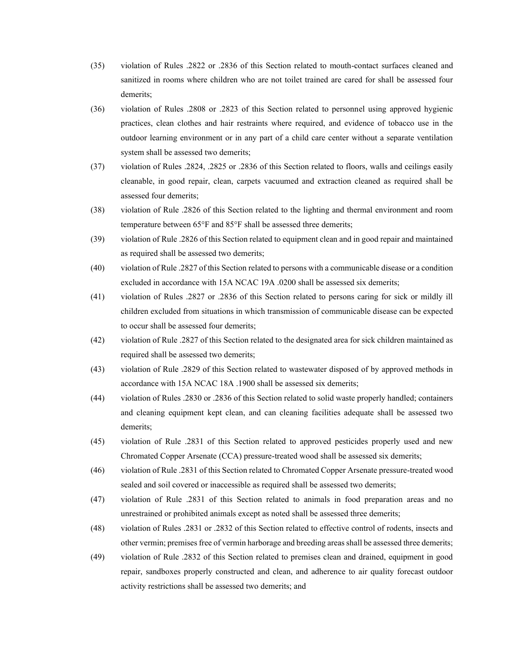- (35) violation of Rules .2822 or .2836 of this Section related to mouth-contact surfaces cleaned and sanitized in rooms where children who are not toilet trained are cared for shall be assessed four demerits;
- (36) violation of Rules .2808 or .2823 of this Section related to personnel using approved hygienic practices, clean clothes and hair restraints where required, and evidence of tobacco use in the outdoor learning environment or in any part of a child care center without a separate ventilation system shall be assessed two demerits;
- (37) violation of Rules .2824, .2825 or .2836 of this Section related to floors, walls and ceilings easily cleanable, in good repair, clean, carpets vacuumed and extraction cleaned as required shall be assessed four demerits;
- (38) violation of Rule .2826 of this Section related to the lighting and thermal environment and room temperature between 65°F and 85°F shall be assessed three demerits;
- (39) violation of Rule .2826 of this Section related to equipment clean and in good repair and maintained as required shall be assessed two demerits;
- (40) violation of Rule .2827 of this Section related to persons with a communicable disease or a condition excluded in accordance with 15A NCAC 19A .0200 shall be assessed six demerits;
- (41) violation of Rules .2827 or .2836 of this Section related to persons caring for sick or mildly ill children excluded from situations in which transmission of communicable disease can be expected to occur shall be assessed four demerits;
- (42) violation of Rule .2827 of this Section related to the designated area for sick children maintained as required shall be assessed two demerits;
- (43) violation of Rule .2829 of this Section related to wastewater disposed of by approved methods in accordance with 15A NCAC 18A .1900 shall be assessed six demerits;
- (44) violation of Rules .2830 or .2836 of this Section related to solid waste properly handled; containers and cleaning equipment kept clean, and can cleaning facilities adequate shall be assessed two demerits;
- (45) violation of Rule .2831 of this Section related to approved pesticides properly used and new Chromated Copper Arsenate (CCA) pressure-treated wood shall be assessed six demerits;
- (46) violation of Rule .2831 of this Section related to Chromated Copper Arsenate pressure-treated wood sealed and soil covered or inaccessible as required shall be assessed two demerits;
- (47) violation of Rule .2831 of this Section related to animals in food preparation areas and no unrestrained or prohibited animals except as noted shall be assessed three demerits;
- (48) violation of Rules .2831 or .2832 of this Section related to effective control of rodents, insects and other vermin; premises free of vermin harborage and breeding areas shall be assessed three demerits;
- (49) violation of Rule .2832 of this Section related to premises clean and drained, equipment in good repair, sandboxes properly constructed and clean, and adherence to air quality forecast outdoor activity restrictions shall be assessed two demerits; and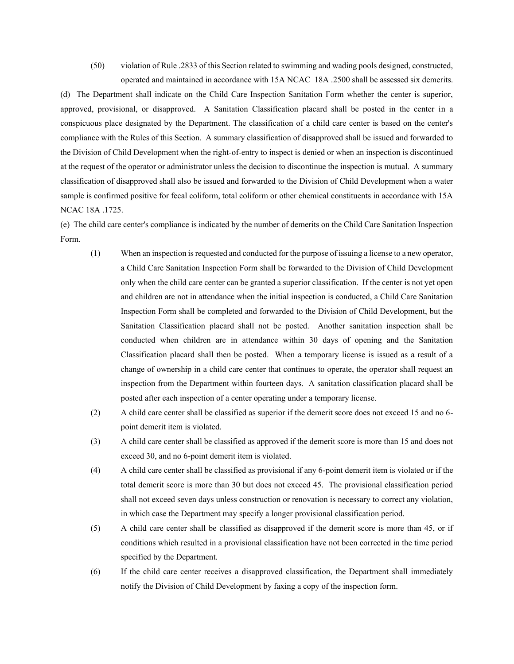(50) violation of Rule .2833 of this Section related to swimming and wading pools designed, constructed, operated and maintained in accordance with 15A NCAC 18A .2500 shall be assessed six demerits.

(d) The Department shall indicate on the Child Care Inspection Sanitation Form whether the center is superior, approved, provisional, or disapproved. A Sanitation Classification placard shall be posted in the center in a conspicuous place designated by the Department. The classification of a child care center is based on the center's compliance with the Rules of this Section. A summary classification of disapproved shall be issued and forwarded to the Division of Child Development when the right-of-entry to inspect is denied or when an inspection is discontinued at the request of the operator or administrator unless the decision to discontinue the inspection is mutual. A summary classification of disapproved shall also be issued and forwarded to the Division of Child Development when a water sample is confirmed positive for fecal coliform, total coliform or other chemical constituents in accordance with 15A NCAC 18A .1725.

(e) The child care center's compliance is indicated by the number of demerits on the Child Care Sanitation Inspection Form.

- (1) When an inspection is requested and conducted for the purpose of issuing a license to a new operator, a Child Care Sanitation Inspection Form shall be forwarded to the Division of Child Development only when the child care center can be granted a superior classification. If the center is not yet open and children are not in attendance when the initial inspection is conducted, a Child Care Sanitation Inspection Form shall be completed and forwarded to the Division of Child Development, but the Sanitation Classification placard shall not be posted. Another sanitation inspection shall be conducted when children are in attendance within 30 days of opening and the Sanitation Classification placard shall then be posted. When a temporary license is issued as a result of a change of ownership in a child care center that continues to operate, the operator shall request an inspection from the Department within fourteen days. A sanitation classification placard shall be posted after each inspection of a center operating under a temporary license.
- (2) A child care center shall be classified as superior if the demerit score does not exceed 15 and no 6 point demerit item is violated.
- (3) A child care center shall be classified as approved if the demerit score is more than 15 and does not exceed 30, and no 6-point demerit item is violated.
- (4) A child care center shall be classified as provisional if any 6-point demerit item is violated or if the total demerit score is more than 30 but does not exceed 45. The provisional classification period shall not exceed seven days unless construction or renovation is necessary to correct any violation, in which case the Department may specify a longer provisional classification period.
- (5) A child care center shall be classified as disapproved if the demerit score is more than 45, or if conditions which resulted in a provisional classification have not been corrected in the time period specified by the Department.
- (6) If the child care center receives a disapproved classification, the Department shall immediately notify the Division of Child Development by faxing a copy of the inspection form.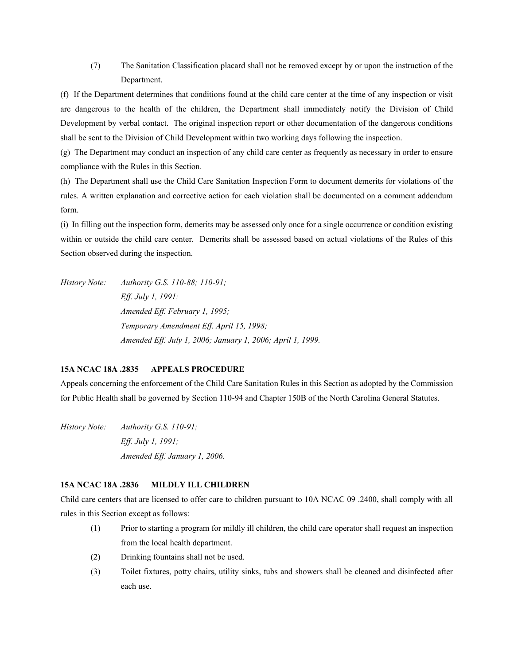(7) The Sanitation Classification placard shall not be removed except by or upon the instruction of the Department.

(f) If the Department determines that conditions found at the child care center at the time of any inspection or visit are dangerous to the health of the children, the Department shall immediately notify the Division of Child Development by verbal contact. The original inspection report or other documentation of the dangerous conditions shall be sent to the Division of Child Development within two working days following the inspection.

(g) The Department may conduct an inspection of any child care center as frequently as necessary in order to ensure compliance with the Rules in this Section.

(h) The Department shall use the Child Care Sanitation Inspection Form to document demerits for violations of the rules. A written explanation and corrective action for each violation shall be documented on a comment addendum form.

(i) In filling out the inspection form, demerits may be assessed only once for a single occurrence or condition existing within or outside the child care center. Demerits shall be assessed based on actual violations of the Rules of this Section observed during the inspection.

*History Note: Authority G.S. 110-88; 110-91; Eff. July 1, 1991; Amended Eff. February 1, 1995; Temporary Amendment Eff. April 15, 1998; Amended Eff. July 1, 2006; January 1, 2006; April 1, 1999.*

# **15A NCAC 18A .2835 APPEALS PROCEDURE**

Appeals concerning the enforcement of the Child Care Sanitation Rules in this Section as adopted by the Commission for Public Health shall be governed by Section 110-94 and Chapter 150B of the North Carolina General Statutes.

*History Note: Authority G.S. 110-91; Eff. July 1, 1991; Amended Eff. January 1, 2006.*

# **15A NCAC 18A .2836 MILDLY ILL CHILDREN**

Child care centers that are licensed to offer care to children pursuant to 10A NCAC 09 .2400, shall comply with all rules in this Section except as follows:

- (1) Prior to starting a program for mildly ill children, the child care operator shall request an inspection from the local health department.
- (2) Drinking fountains shall not be used.
- (3) Toilet fixtures, potty chairs, utility sinks, tubs and showers shall be cleaned and disinfected after each use.